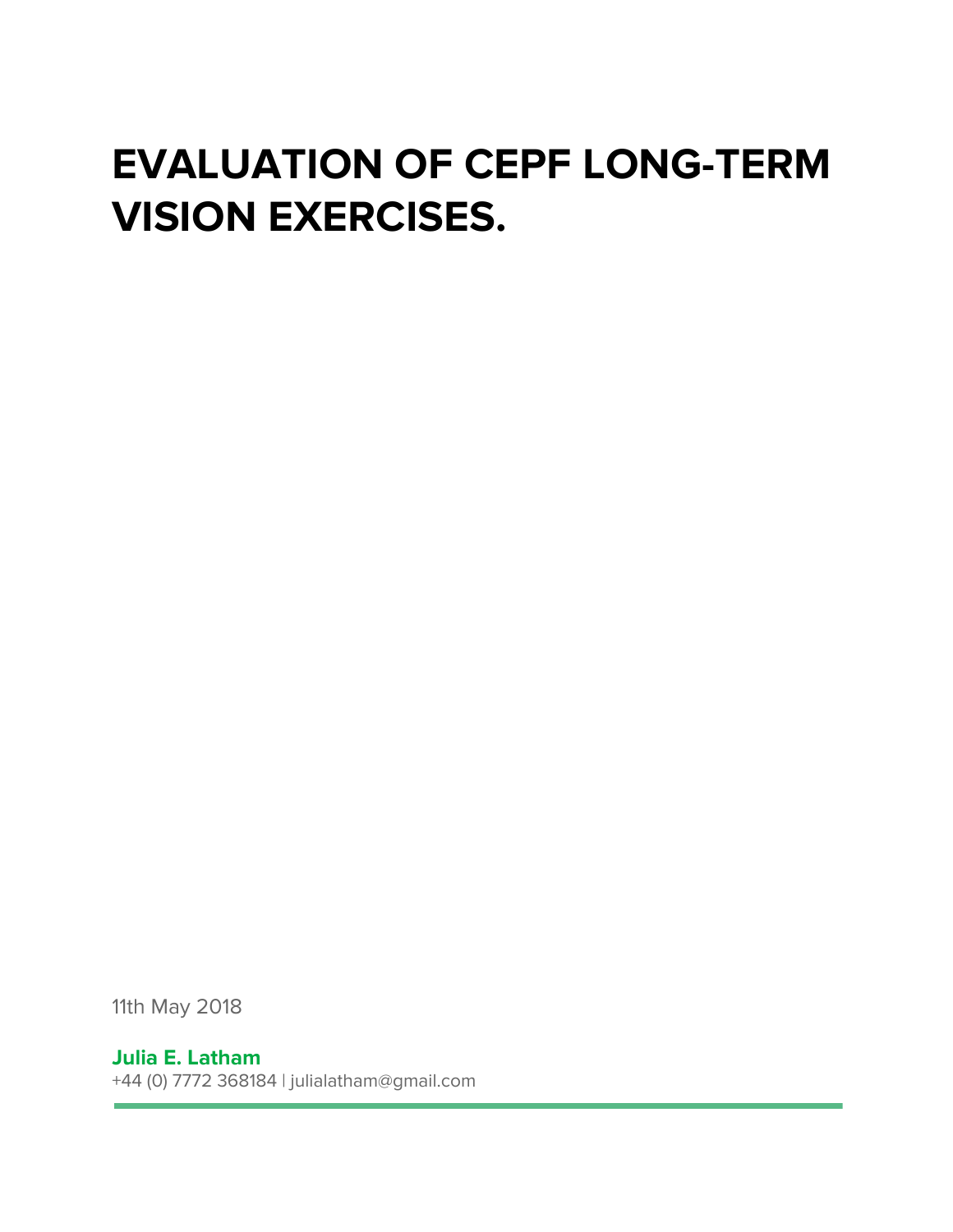## **EVALUATION OF CEPF LONG-TERM VISION EXERCISES.**

11th May 2018

## **Julia E. Latham**

+44 (0) 7772 368184 | julialatham@gmail.com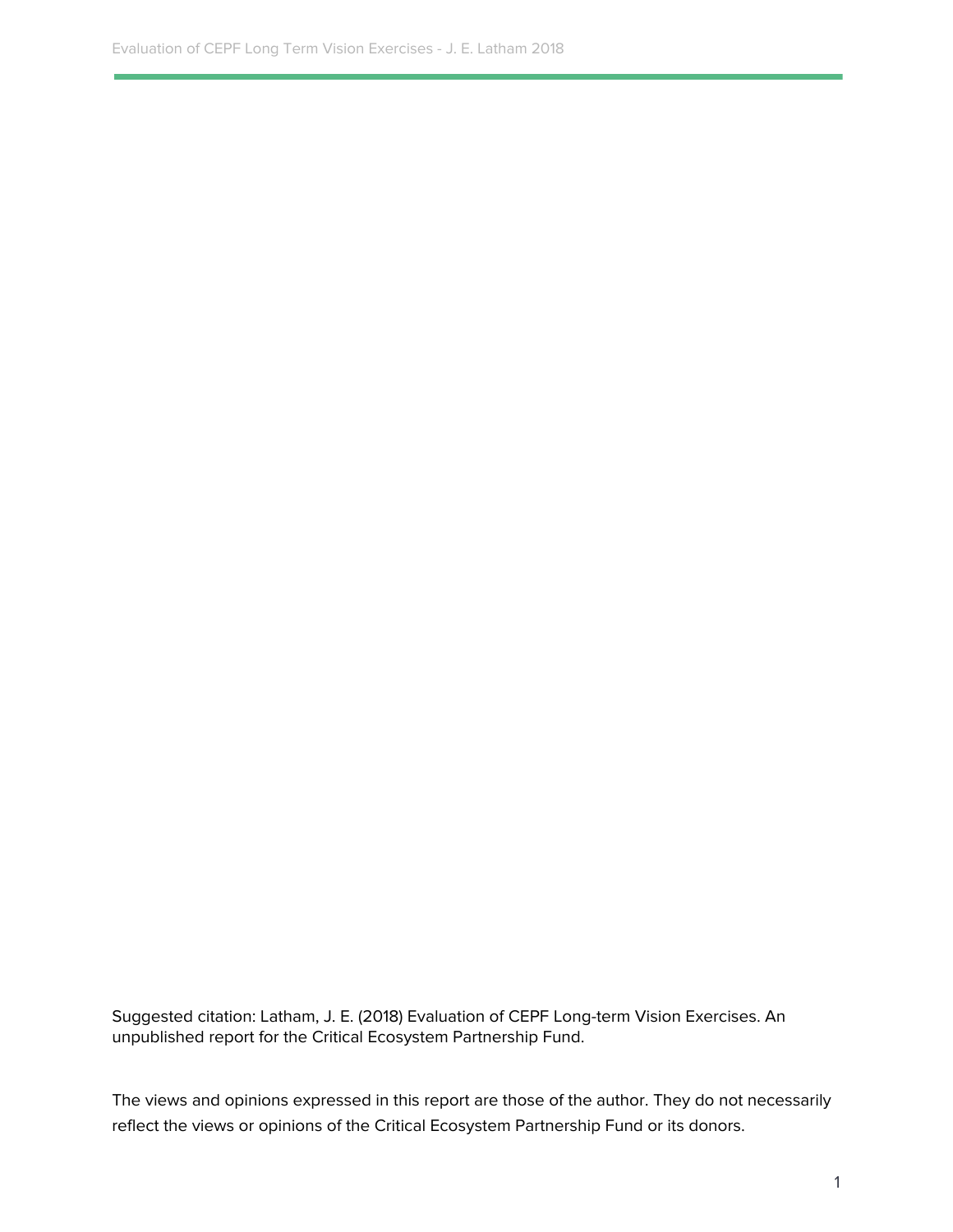Suggested citation: Latham, J. E. (2018) Evaluation of CEPF Long-term Vision Exercises. An unpublished report for the Critical Ecosystem Partnership Fund.

The views and opinions expressed in this report are those of the author. They do not necessarily reflect the views or opinions of the Critical Ecosystem Partnership Fund or its donors.

1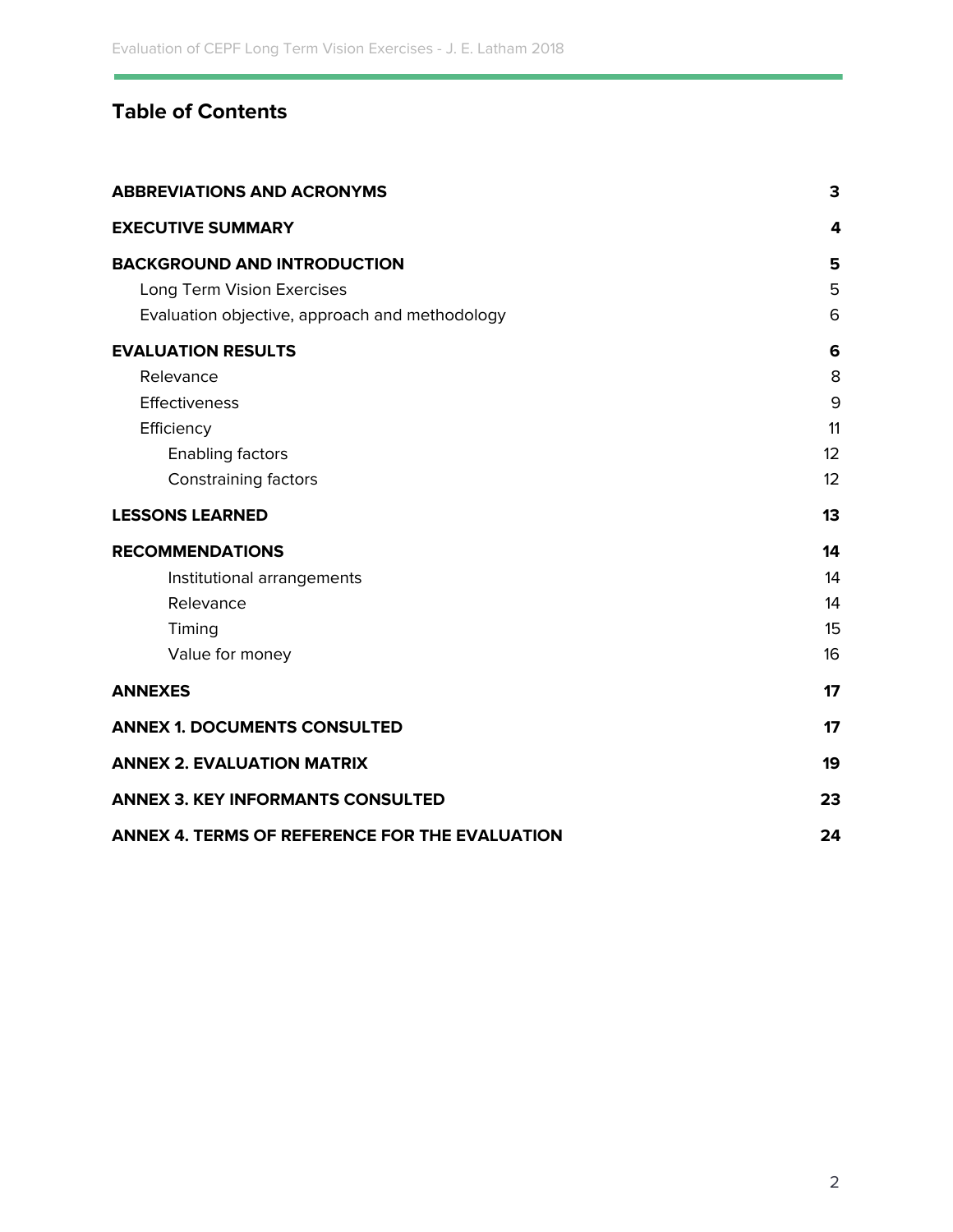## **Table of Contents**

| <b>ABBREVIATIONS AND ACRONYMS</b>              | 3  |
|------------------------------------------------|----|
| <b>EXECUTIVE SUMMARY</b>                       | 4  |
| <b>BACKGROUND AND INTRODUCTION</b>             | 5  |
| Long Term Vision Exercises                     | 5  |
| Evaluation objective, approach and methodology | 6  |
| <b>EVALUATION RESULTS</b>                      | 6  |
| Relevance                                      | 8  |
| Effectiveness                                  | 9  |
| Efficiency                                     | 11 |
| <b>Enabling factors</b>                        | 12 |
| <b>Constraining factors</b>                    | 12 |
| <b>LESSONS LEARNED</b>                         | 13 |
| <b>RECOMMENDATIONS</b>                         | 14 |
| Institutional arrangements                     | 14 |
| Relevance                                      | 14 |
| Timing                                         | 15 |
| Value for money                                | 16 |
| <b>ANNEXES</b>                                 | 17 |
| <b>ANNEX 1. DOCUMENTS CONSULTED</b>            | 17 |
| <b>ANNEX 2. EVALUATION MATRIX</b>              | 19 |
| <b>ANNEX 3. KEY INFORMANTS CONSULTED</b>       | 23 |
| ANNEX 4. TERMS OF REFERENCE FOR THE EVALUATION | 24 |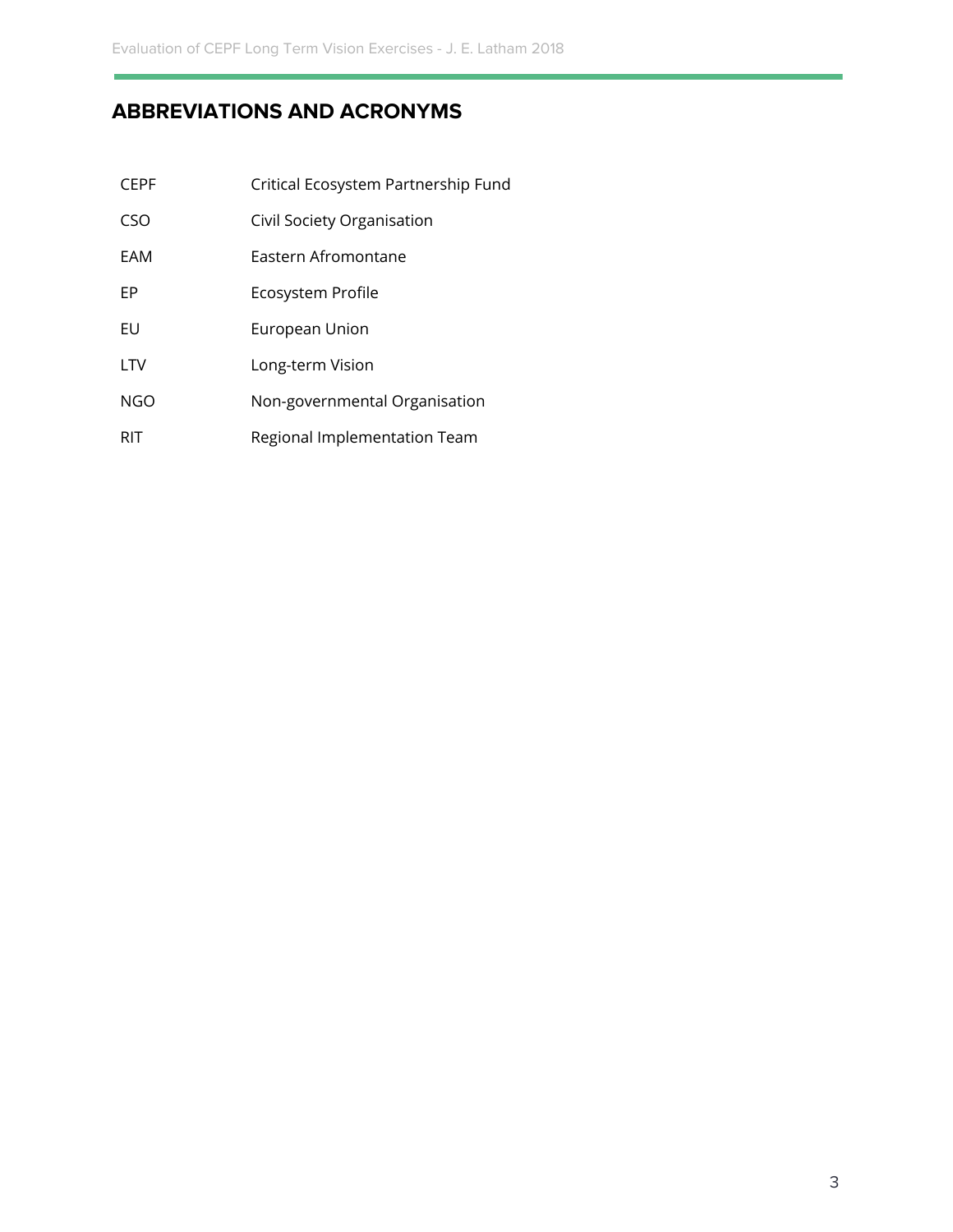## **ABBREVIATIONS AND ACRONYMS**

| <b>CFPF</b> | Critical Ecosystem Partnership Fund |
|-------------|-------------------------------------|
| CSO         | Civil Society Organisation          |
| FAM         | Fastern Afromontane                 |
| FP          | Ecosystem Profile                   |
| EU          | European Union                      |
| <b>LTV</b>  | Long-term Vision                    |
| NGO         | Non-governmental Organisation       |
| RIT         | Regional Implementation Team        |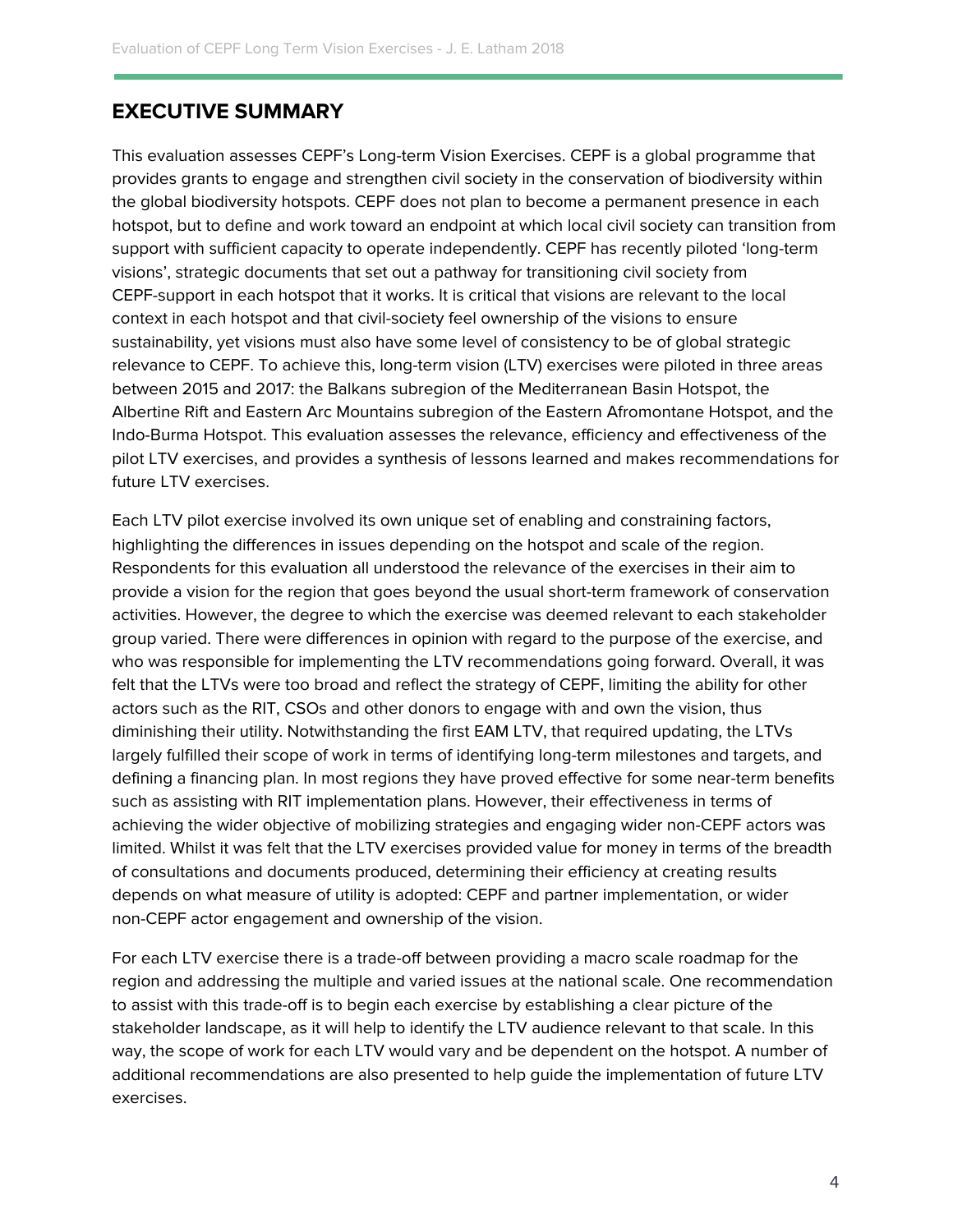## <span id="page-4-0"></span>**EXECUTIVE SUMMARY**

This evaluation assesses CEPF's Long-term Vision Exercises. CEPF is a global programme that provides grants to engage and strengthen civil society in the conservation of biodiversity within the global biodiversity hotspots. CEPF does not plan to become a permanent presence in each hotspot, but to define and work toward an endpoint at which local civil society can transition from support with sufficient capacity to operate independently. CEPF has recently piloted 'long-term visions', strategic documents that set out a pathway for transitioning civil society from CEPF-support in each hotspot that it works. It is critical that visions are relevant to the local context in each hotspot and that civil-society feel ownership of the visions to ensure sustainability, yet visions must also have some level of consistency to be of global strategic relevance to CEPF. To achieve this, long-term vision (LTV) exercises were piloted in three areas between 2015 and 2017: the Balkans subregion of the Mediterranean Basin Hotspot, the Albertine Rift and Eastern Arc Mountains subregion of the Eastern Afromontane Hotspot, and the Indo-Burma Hotspot. This evaluation assesses the relevance, efficiency and effectiveness of the pilot LTV exercises, and provides a synthesis of lessons learned and makes recommendations for future LTV exercises.

Each LTV pilot exercise involved its own unique set of enabling and constraining factors, highlighting the differences in issues depending on the hotspot and scale of the region. Respondents for this evaluation all understood the relevance of the exercises in their aim to provide a vision for the region that goes beyond the usual short-term framework of conservation activities. However, the degree to which the exercise was deemed relevant to each stakeholder group varied. There were differences in opinion with regard to the purpose of the exercise, and who was responsible for implementing the LTV recommendations going forward. Overall, it was felt that the LTVs were too broad and reflect the strategy of CEPF, limiting the ability for other actors such as the RIT, CSOs and other donors to engage with and own the vision, thus diminishing their utility. Notwithstanding the first EAM LTV, that required updating, the LTVs largely fulfilled their scope of work in terms of identifying long-term milestones and targets, and defining a financing plan. In most regions they have proved effective for some near-term benefits such as assisting with RIT implementation plans. However, their effectiveness in terms of achieving the wider objective of mobilizing strategies and engaging wider non-CEPF actors was limited. Whilst it was felt that the LTV exercises provided value for money in terms of the breadth of consultations and documents produced, determining their efficiency at creating results depends on what measure of utility is adopted: CEPF and partner implementation, or wider non-CEPF actor engagement and ownership of the vision.

For each LTV exercise there is a trade-off between providing a macro scale roadmap for the region and addressing the multiple and varied issues at the national scale. One recommendation to assist with this trade-off is to begin each exercise by establishing a clear picture of the stakeholder landscape, as it will help to identify the LTV audience relevant to that scale. In this way, the scope of work for each LTV would vary and be dependent on the hotspot. A number of additional recommendations are also presented to help guide the implementation of future LTV exercises.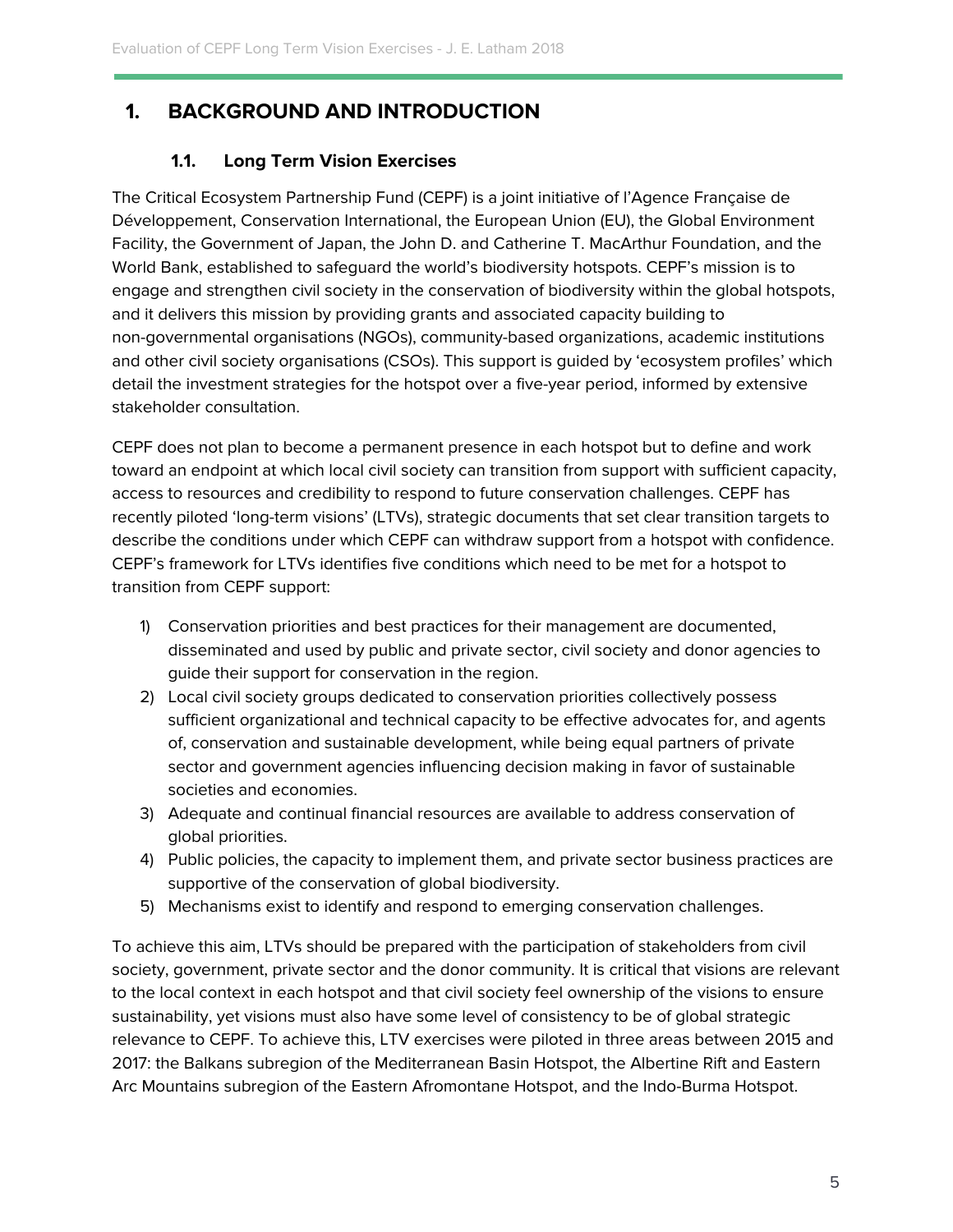## <span id="page-5-1"></span><span id="page-5-0"></span>**1. BACKGROUND AND INTRODUCTION**

## **1.1. Long Term Vision Exercises**

The Critical Ecosystem Partnership Fund (CEPF) is a joint initiative of l'Agence Française de Développement, Conservation International, the European Union (EU), the Global Environment Facility, the Government of Japan, the John D. and Catherine T. MacArthur Foundation, and the World Bank, established to safeguard the world's biodiversity hotspots. CEPF's mission is to engage and strengthen civil society in the conservation of biodiversity within the global hotspots, and it delivers this mission by providing grants and associated capacity building to non-governmental organisations (NGOs), community-based organizations, academic institutions and other civil society organisations (CSOs). This support is guided by 'ecosystem profiles' which detail the investment strategies for the hotspot over a five-year period, informed by extensive stakeholder consultation.

CEPF does not plan to become a permanent presence in each hotspot but to define and work toward an endpoint at which local civil society can transition from support with sufficient capacity, access to resources and credibility to respond to future conservation challenges. CEPF has recently piloted 'long-term visions' (LTVs), strategic documents that set clear transition targets to describe the conditions under which CEPF can withdraw support from a hotspot with confidence. CEPF's framework for LTVs identifies five conditions which need to be met for a hotspot to transition from CEPF support:

- 1) Conservation priorities and best practices for their management are documented, disseminated and used by public and private sector, civil society and donor agencies to guide their support for conservation in the region.
- 2) Local civil society groups dedicated to conservation priorities collectively possess sufficient organizational and technical capacity to be effective advocates for, and agents of, conservation and sustainable development, while being equal partners of private sector and government agencies influencing decision making in favor of sustainable societies and economies.
- 3) Adequate and continual financial resources are available to address conservation of global priorities.
- 4) Public policies, the capacity to implement them, and private sector business practices are supportive of the conservation of global biodiversity.
- 5) Mechanisms exist to identify and respond to emerging conservation challenges.

To achieve this aim, LTVs should be prepared with the participation of stakeholders from civil society, government, private sector and the donor community. It is critical that visions are relevant to the local context in each hotspot and that civil society feel ownership of the visions to ensure sustainability, yet visions must also have some level of consistency to be of global strategic relevance to CEPF. To achieve this, LTV exercises were piloted in three areas between 2015 and 2017: the Balkans subregion of the Mediterranean Basin Hotspot, the Albertine Rift and Eastern Arc Mountains subregion of the Eastern Afromontane Hotspot, and the Indo-Burma Hotspot.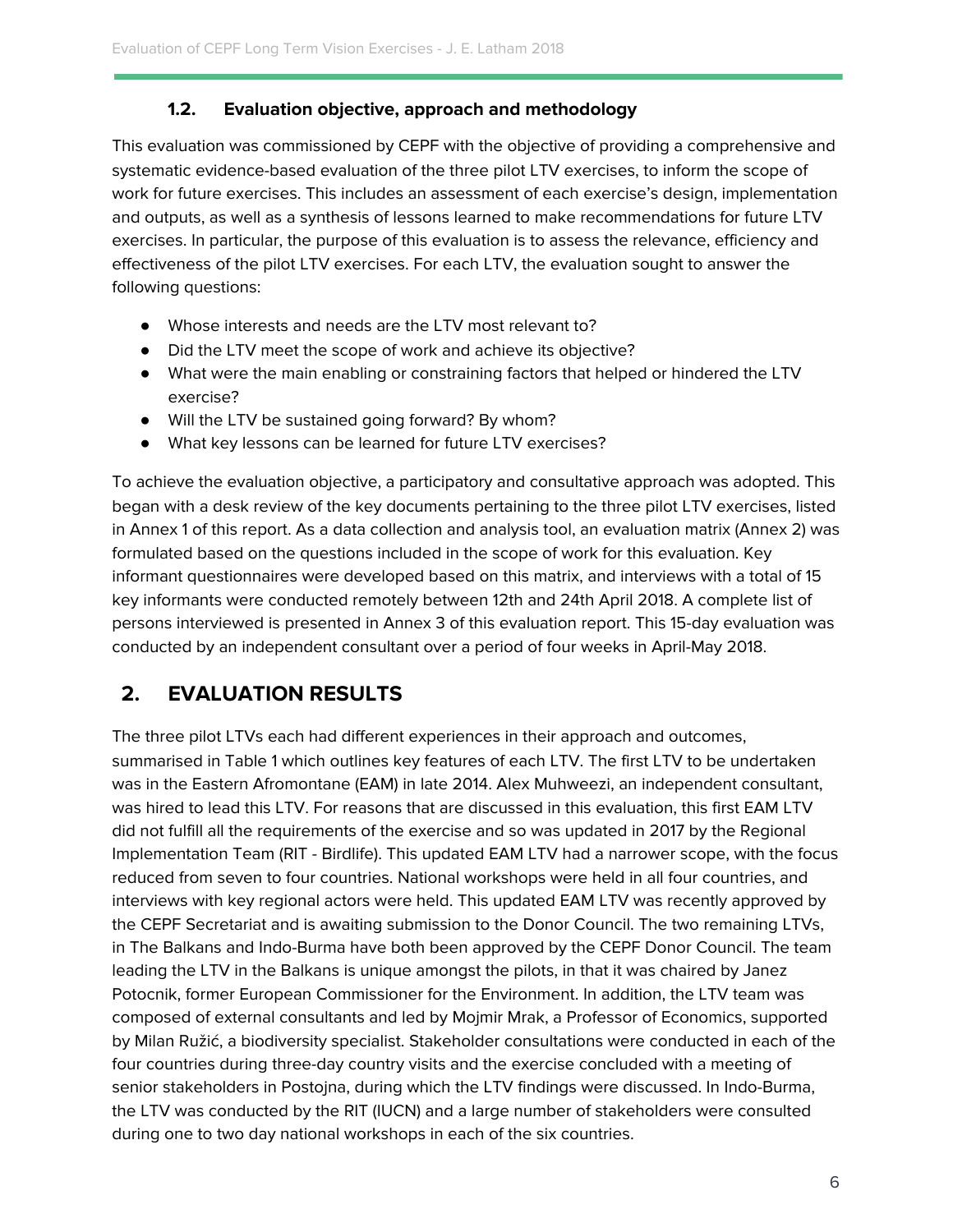## **1.2. Evaluation objective, approach and methodology**

<span id="page-6-0"></span>This evaluation was commissioned by CEPF with the objective of providing a comprehensive and systematic evidence-based evaluation of the three pilot LTV exercises, to inform the scope of work for future exercises. This includes an assessment of each exercise's design, implementation and outputs, as well as a synthesis of lessons learned to make recommendations for future LTV exercises. In particular, the purpose of this evaluation is to assess the relevance, efficiency and effectiveness of the pilot LTV exercises. For each LTV, the evaluation sought to answer the following questions:

- Whose interests and needs are the LTV most relevant to?
- Did the LTV meet the scope of work and achieve its objective?
- What were the main enabling or constraining factors that helped or hindered the LTV exercise?
- Will the LTV be sustained going forward? By whom?
- What key lessons can be learned for future LTV exercises?

To achieve the evaluation objective, a participatory and consultative approach was adopted. This began with a desk review of the key documents pertaining to the three pilot LTV exercises, listed in Annex 1 of this report. As a data collection and analysis tool, an evaluation matrix (Annex 2) was formulated based on the questions included in the scope of work for this evaluation. Key informant questionnaires were developed based on this matrix, and interviews with a total of 15 key informants were conducted remotely between 12th and 24th April 2018. A complete list of persons interviewed is presented in Annex 3 of this evaluation report. This 15-day evaluation was conducted by an independent consultant over a period of four weeks in April-May 2018.

## <span id="page-6-1"></span>**2. EVALUATION RESULTS**

The three pilot LTVs each had different experiences in their approach and outcomes, summarised in Table 1 which outlines key features of each LTV. The first LTV to be undertaken was in the Eastern Afromontane (EAM) in late 2014. Alex Muhweezi, an independent consultant, was hired to lead this LTV. For reasons that are discussed in this evaluation, this first EAM LTV did not fulfill all the requirements of the exercise and so was updated in 2017 by the Regional Implementation Team (RIT - Birdlife). This updated EAM LTV had a narrower scope, with the focus reduced from seven to four countries. National workshops were held in all four countries, and interviews with key regional actors were held. This updated EAM LTV was recently approved by the CEPF Secretariat and is awaiting submission to the Donor Council. The two remaining LTVs, in The Balkans and Indo-Burma have both been approved by the CEPF Donor Council. The team leading the LTV in the Balkans is unique amongst the pilots, in that it was chaired by Janez Potocnik, former European Commissioner for the Environment. In addition, the LTV team was composed of external consultants and led by Mojmir Mrak, a Professor of Economics, supported by Milan Ružić, a biodiversity specialist. Stakeholder consultations were conducted in each of the four countries during three-day country visits and the exercise concluded with a meeting of senior stakeholders in Postojna, during which the LTV findings were discussed. In Indo-Burma, the LTV was conducted by the RIT (IUCN) and a large number of stakeholders were consulted during one to two day national workshops in each of the six countries.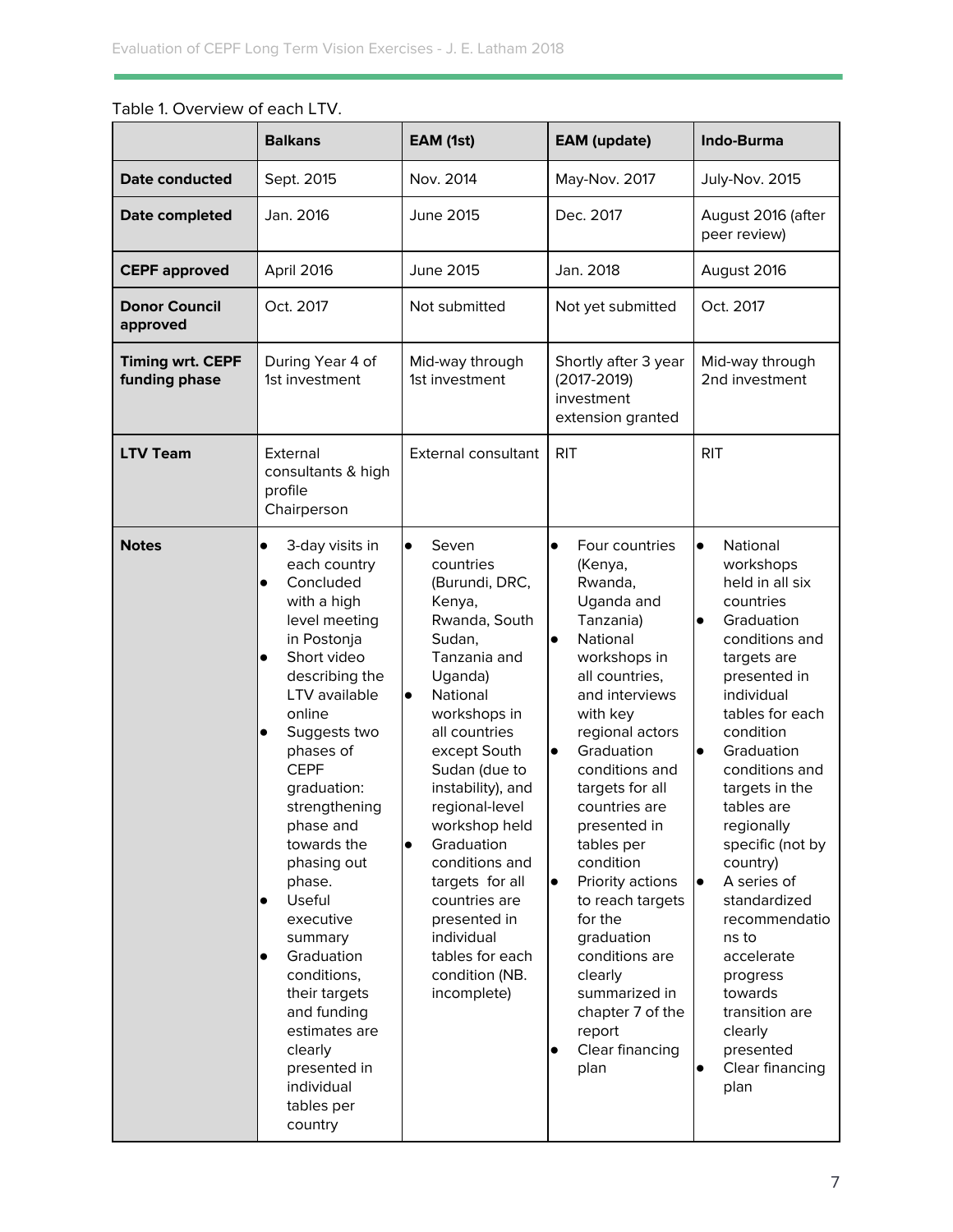|                                          | <b>Balkans</b>                                                                                                                                                                                                                                                                                                                                                                                                                                                                                                                                           | EAM (1st)                                                                                                                                                                                                                                                                                                                                                                                                                               | <b>EAM</b> (update)                                                                                                                                                                                                                                                                                                                                                                                                                                                                                                    | <b>Indo-Burma</b>                                                                                                                                                                                                                                                                                                                                                                                                                                                                                                    |  |
|------------------------------------------|----------------------------------------------------------------------------------------------------------------------------------------------------------------------------------------------------------------------------------------------------------------------------------------------------------------------------------------------------------------------------------------------------------------------------------------------------------------------------------------------------------------------------------------------------------|-----------------------------------------------------------------------------------------------------------------------------------------------------------------------------------------------------------------------------------------------------------------------------------------------------------------------------------------------------------------------------------------------------------------------------------------|------------------------------------------------------------------------------------------------------------------------------------------------------------------------------------------------------------------------------------------------------------------------------------------------------------------------------------------------------------------------------------------------------------------------------------------------------------------------------------------------------------------------|----------------------------------------------------------------------------------------------------------------------------------------------------------------------------------------------------------------------------------------------------------------------------------------------------------------------------------------------------------------------------------------------------------------------------------------------------------------------------------------------------------------------|--|
| Date conducted                           | Sept. 2015                                                                                                                                                                                                                                                                                                                                                                                                                                                                                                                                               | Nov. 2014                                                                                                                                                                                                                                                                                                                                                                                                                               | May-Nov. 2017                                                                                                                                                                                                                                                                                                                                                                                                                                                                                                          | July-Nov. 2015                                                                                                                                                                                                                                                                                                                                                                                                                                                                                                       |  |
| Date completed                           | Jan. 2016                                                                                                                                                                                                                                                                                                                                                                                                                                                                                                                                                | <b>June 2015</b><br>Dec. 2017                                                                                                                                                                                                                                                                                                                                                                                                           |                                                                                                                                                                                                                                                                                                                                                                                                                                                                                                                        | August 2016 (after<br>peer review)                                                                                                                                                                                                                                                                                                                                                                                                                                                                                   |  |
| <b>CEPF approved</b>                     | April 2016                                                                                                                                                                                                                                                                                                                                                                                                                                                                                                                                               | June 2015                                                                                                                                                                                                                                                                                                                                                                                                                               | Jan. 2018                                                                                                                                                                                                                                                                                                                                                                                                                                                                                                              | August 2016                                                                                                                                                                                                                                                                                                                                                                                                                                                                                                          |  |
| <b>Donor Council</b><br>approved         | Oct. 2017                                                                                                                                                                                                                                                                                                                                                                                                                                                                                                                                                | Not submitted                                                                                                                                                                                                                                                                                                                                                                                                                           | Not yet submitted                                                                                                                                                                                                                                                                                                                                                                                                                                                                                                      | Oct. 2017                                                                                                                                                                                                                                                                                                                                                                                                                                                                                                            |  |
| <b>Timing wrt. CEPF</b><br>funding phase | During Year 4 of<br>Mid-way through<br>Shortly after 3 year<br>1st investment<br>1st investment<br>$(2017 - 2019)$<br>investment<br>extension granted                                                                                                                                                                                                                                                                                                                                                                                                    |                                                                                                                                                                                                                                                                                                                                                                                                                                         | Mid-way through<br>2nd investment                                                                                                                                                                                                                                                                                                                                                                                                                                                                                      |                                                                                                                                                                                                                                                                                                                                                                                                                                                                                                                      |  |
| <b>LTV Team</b>                          | External<br>consultants & high<br>profile<br>Chairperson                                                                                                                                                                                                                                                                                                                                                                                                                                                                                                 | External consultant                                                                                                                                                                                                                                                                                                                                                                                                                     | <b>RIT</b>                                                                                                                                                                                                                                                                                                                                                                                                                                                                                                             | <b>RIT</b>                                                                                                                                                                                                                                                                                                                                                                                                                                                                                                           |  |
| <b>Notes</b>                             | 3-day visits in<br>$\bullet$<br>each country<br>Concluded<br>$\bullet$<br>with a high<br>level meeting<br>in Postonja<br>Short video<br>$\bullet$<br>describing the<br>LTV available<br>online<br>Suggests two<br>$\bullet$<br>phases of<br><b>CEPF</b><br>graduation:<br>strengthening<br>phase and<br>towards the<br>phasing out<br>phase.<br>Useful<br>$\bullet$<br>executive<br>summary<br>Graduation<br>$\bullet$<br>conditions,<br>their targets<br>and funding<br>estimates are<br>clearly<br>presented in<br>individual<br>tables per<br>country | $\bullet$<br>Seven<br>countries<br>(Burundi, DRC,<br>Kenya,<br>Rwanda, South<br>Sudan,<br>Tanzania and<br>Uganda)<br>National<br>$\bullet$<br>workshops in<br>all countries<br>except South<br>Sudan (due to<br>instability), and<br>regional-level<br>workshop held<br>Graduation<br>$\bullet$<br>conditions and<br>targets for all<br>countries are<br>presented in<br>individual<br>tables for each<br>condition (NB.<br>incomplete) | Four countries<br>$\bullet$<br>(Kenya,<br>Rwanda,<br>Uganda and<br>Tanzania)<br>National<br>$\bullet$<br>workshops in<br>all countries,<br>and interviews<br>with key<br>regional actors<br>Graduation<br>$\bullet$<br>conditions and<br>targets for all<br>countries are<br>presented in<br>tables per<br>condition<br>Priority actions<br>$\bullet$<br>to reach targets<br>for the<br>graduation<br>conditions are<br>clearly<br>summarized in<br>chapter 7 of the<br>report<br>Clear financing<br>$\bullet$<br>plan | $\bullet$<br>National<br>workshops<br>held in all six<br>countries<br>Graduation<br>$\bullet$<br>conditions and<br>targets are<br>presented in<br>individual<br>tables for each<br>condition<br>Graduation<br>$\bullet$<br>conditions and<br>targets in the<br>tables are<br>regionally<br>specific (not by<br>country)<br>A series of<br>$\bullet$<br>standardized<br>recommendatio<br>ns to<br>accelerate<br>progress<br>towards<br>transition are<br>clearly<br>presented<br>Clear financing<br>$\bullet$<br>plan |  |

## Table 1. Overview of each LTV.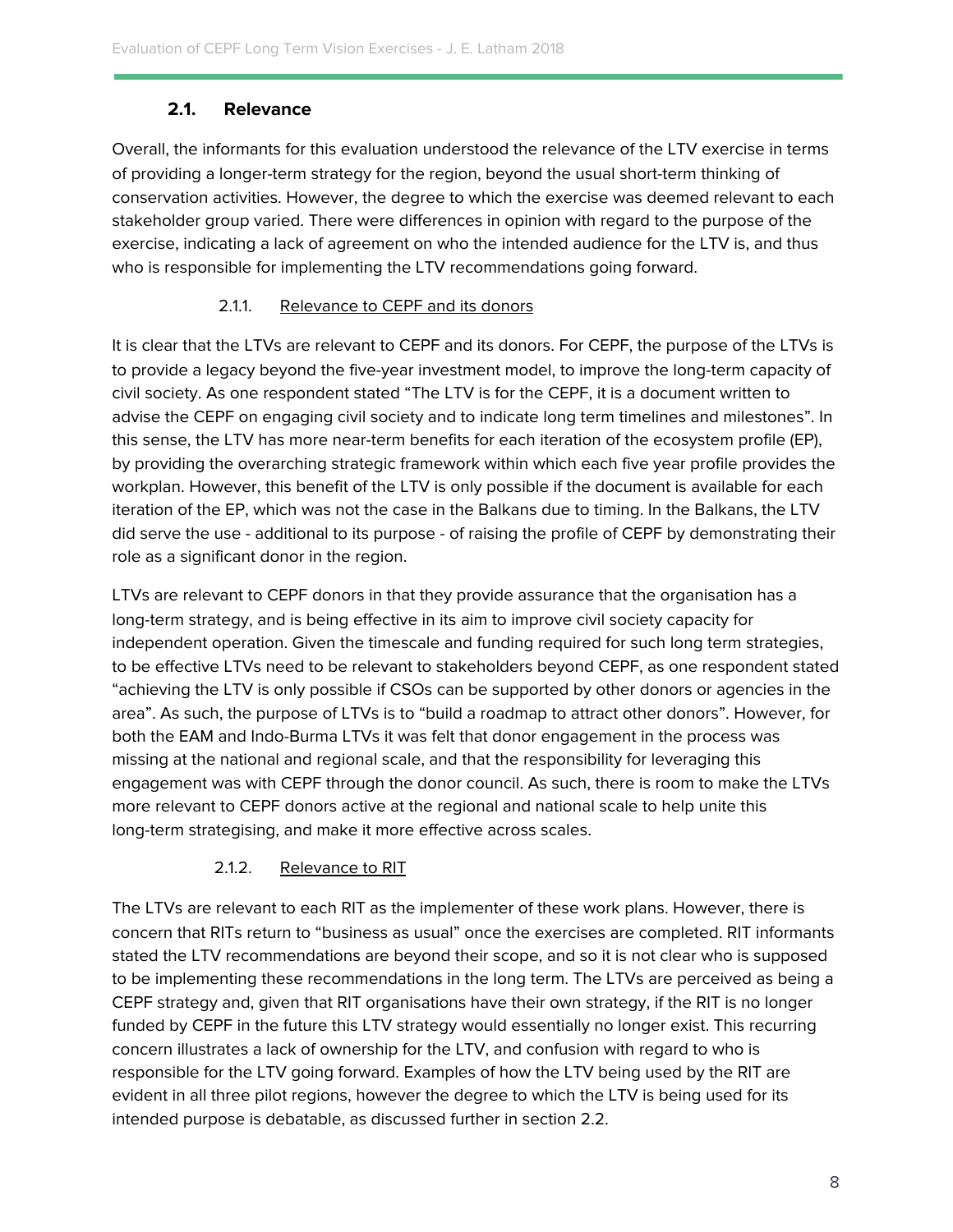## **2.1. Relevance**

<span id="page-8-0"></span>Overall, the informants for this evaluation understood the relevance of the LTV exercise in terms of providing a longer-term strategy for the region, beyond the usual short-term thinking of conservation activities. However, the degree to which the exercise was deemed relevant to each stakeholder group varied. There were differences in opinion with regard to the purpose of the exercise, indicating a lack of agreement on who the intended audience for the LTV is, and thus who is responsible for implementing the LTV recommendations going forward.

## 2.1.1. Relevance to CEPF and its donors

It is clear that the LTVs are relevant to CEPF and its donors. For CEPF, the purpose of the LTVs is to provide a legacy beyond the five-year investment model, to improve the long-term capacity of civil society. As one respondent stated "The LTV is for the CEPF, it is a document written to advise the CEPF on engaging civil society and to indicate long term timelines and milestones". In this sense, the LTV has more near-term benefits for each iteration of the ecosystem profile (EP), by providing the overarching strategic framework within which each five year profile provides the workplan. However, this benefit of the LTV is only possible if the document is available for each iteration of the EP, which was not the case in the Balkans due to timing. In the Balkans, the LTV did serve the use - additional to its purpose - of raising the profile of CEPF by demonstrating their role as a significant donor in the region.

LTVs are relevant to CEPF donors in that they provide assurance that the organisation has a long-term strategy, and is being effective in its aim to improve civil society capacity for independent operation. Given the timescale and funding required for such long term strategies, to be effective LTVs need to be relevant to stakeholders beyond CEPF, as one respondent stated "achieving the LTV is only possible if CSOs can be supported by other donors or agencies in the area". As such, the purpose of LTVs is to "build a roadmap to attract other donors". However, for both the EAM and Indo-Burma LTVs it was felt that donor engagement in the process was missing at the national and regional scale, and that the responsibility for leveraging this engagement was with CEPF through the donor council. As such, there is room to make the LTVs more relevant to CEPF donors active at the regional and national scale to help unite this long-term strategising, and make it more effective across scales.

## 2.1.2. Relevance to RIT

The LTVs are relevant to each RIT as the implementer of these work plans. However, there is concern that RITs return to "business as usual" once the exercises are completed. RIT informants stated the LTV recommendations are beyond their scope, and so it is not clear who is supposed to be implementing these recommendations in the long term. The LTVs are perceived as being a CEPF strategy and, given that RIT organisations have their own strategy, if the RIT is no longer funded by CEPF in the future this LTV strategy would essentially no longer exist. This recurring concern illustrates a lack of ownership for the LTV, and confusion with regard to who is responsible for the LTV going forward. Examples of how the LTV being used by the RIT are evident in all three pilot regions, however the degree to which the LTV is being used for its intended purpose is debatable, as discussed further in section 2.2.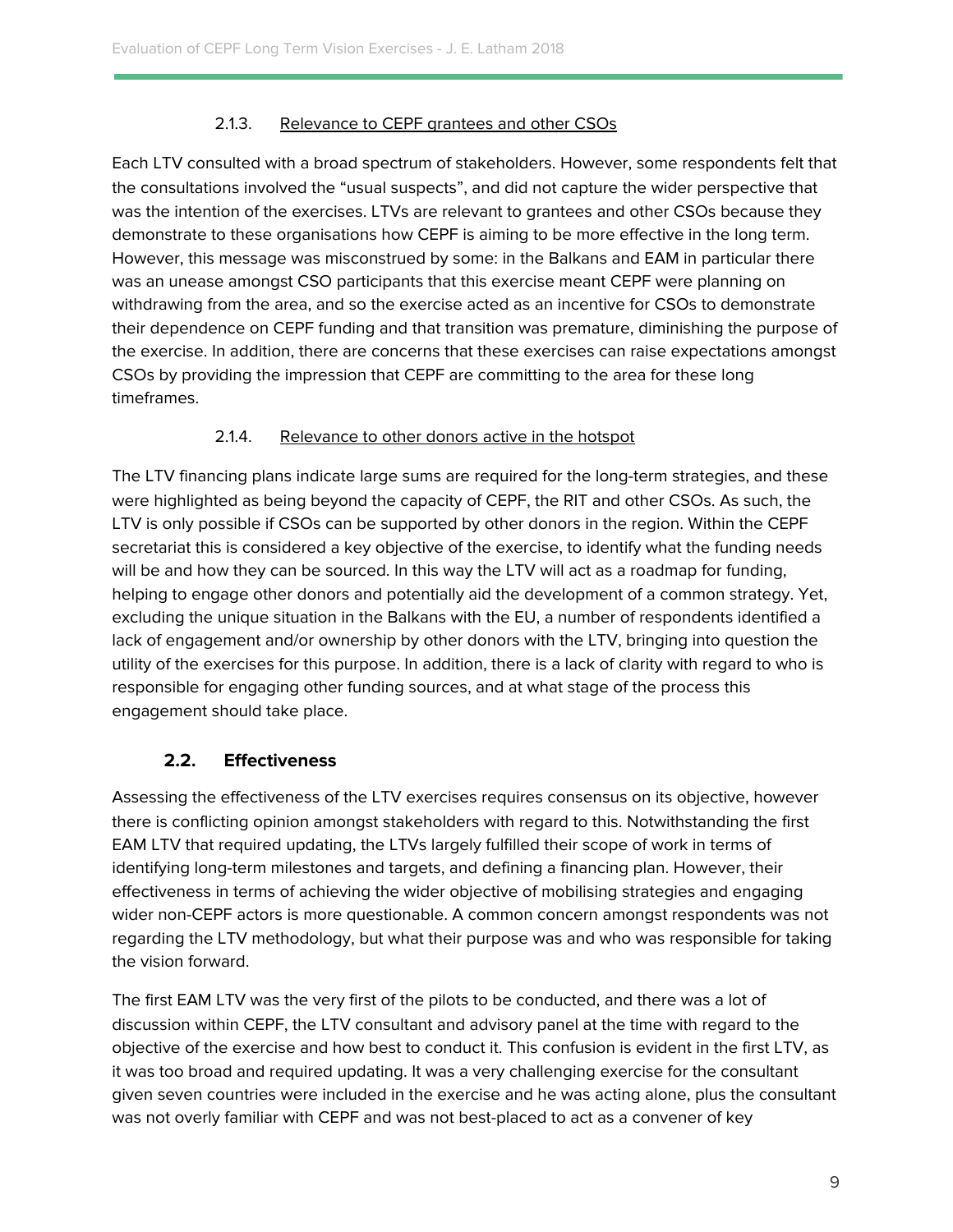## 2.1.3. Relevance to CEPF grantees and other CSOs

Each LTV consulted with a broad spectrum of stakeholders. However, some respondents felt that the consultations involved the "usual suspects", and did not capture the wider perspective that was the intention of the exercises. LTVs are relevant to grantees and other CSOs because they demonstrate to these organisations how CEPF is aiming to be more effective in the long term. However, this message was misconstrued by some: in the Balkans and EAM in particular there was an unease amongst CSO participants that this exercise meant CEPF were planning on withdrawing from the area, and so the exercise acted as an incentive for CSOs to demonstrate their dependence on CEPF funding and that transition was premature, diminishing the purpose of the exercise. In addition, there are concerns that these exercises can raise expectations amongst CSOs by providing the impression that CEPF are committing to the area for these long timeframes.

## 2.1.4. Relevance to other donors active in the hotspot

The LTV financing plans indicate large sums are required for the long-term strategies, and these were highlighted as being beyond the capacity of CEPF, the RIT and other CSOs. As such, the LTV is only possible if CSOs can be supported by other donors in the region. Within the CEPF secretariat this is considered a key objective of the exercise, to identify what the funding needs will be and how they can be sourced. In this way the LTV will act as a roadmap for funding, helping to engage other donors and potentially aid the development of a common strategy. Yet, excluding the unique situation in the Balkans with the EU, a number of respondents identified a lack of engagement and/or ownership by other donors with the LTV, bringing into question the utility of the exercises for this purpose. In addition, there is a lack of clarity with regard to who is responsible for engaging other funding sources, and at what stage of the process this engagement should take place.

## <span id="page-9-0"></span>**2.2. Effectiveness**

Assessing the effectiveness of the LTV exercises requires consensus on its objective, however there is conflicting opinion amongst stakeholders with regard to this. Notwithstanding the first EAM LTV that required updating, the LTVs largely fulfilled their scope of work in terms of identifying long-term milestones and targets, and defining a financing plan. However, their effectiveness in terms of achieving the wider objective of mobilising strategies and engaging wider non-CEPF actors is more questionable. A common concern amongst respondents was not regarding the LTV methodology, but what their purpose was and who was responsible for taking the vision forward.

The first EAM LTV was the very first of the pilots to be conducted, and there was a lot of discussion within CEPF, the LTV consultant and advisory panel at the time with regard to the objective of the exercise and how best to conduct it. This confusion is evident in the first LTV, as it was too broad and required updating. It was a very challenging exercise for the consultant given seven countries were included in the exercise and he was acting alone, plus the consultant was not overly familiar with CEPF and was not best-placed to act as a convener of key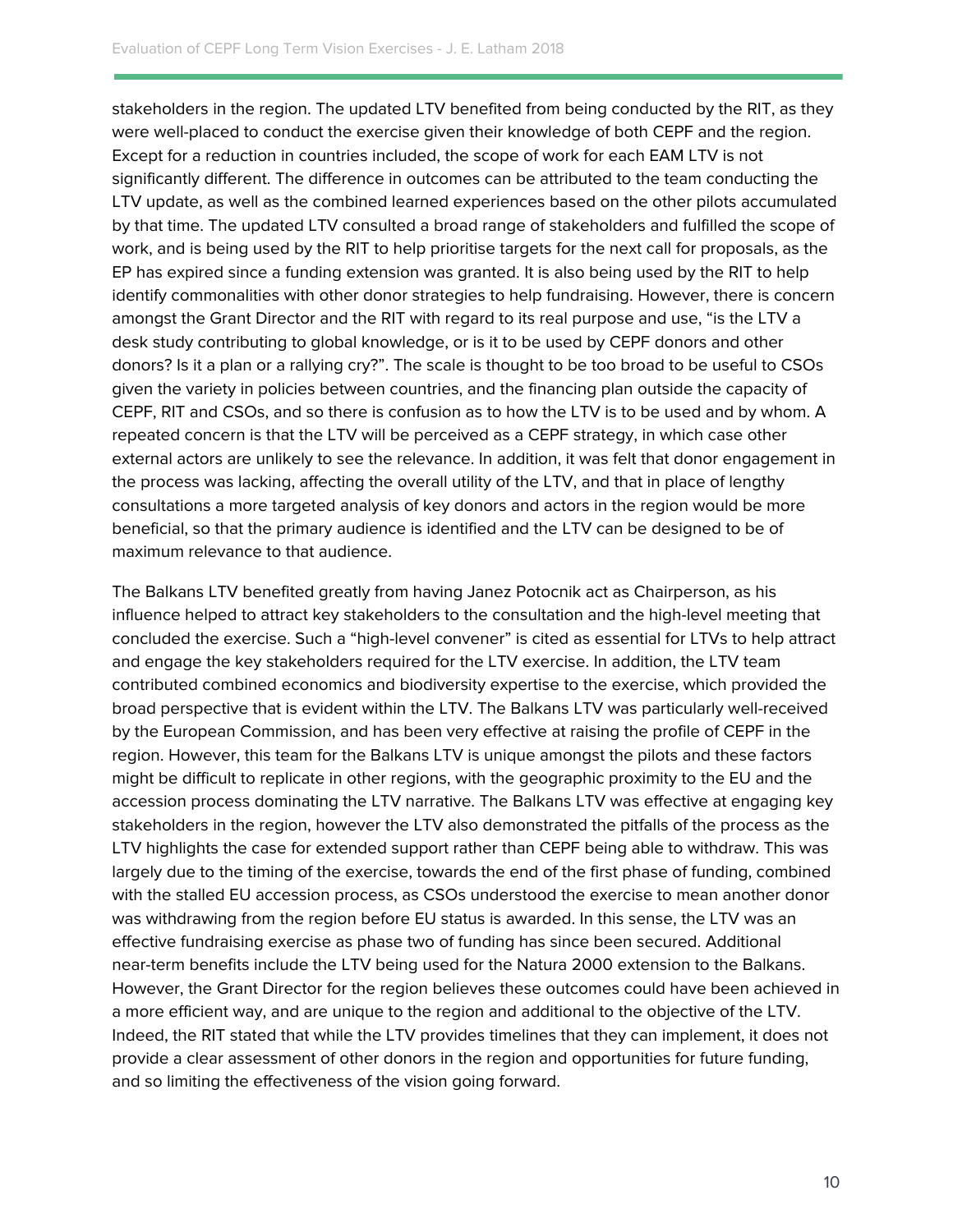stakeholders in the region. The updated LTV benefited from being conducted by the RIT, as they were well-placed to conduct the exercise given their knowledge of both CEPF and the region. Except for a reduction in countries included, the scope of work for each EAM LTV is not significantly different. The difference in outcomes can be attributed to the team conducting the LTV update, as well as the combined learned experiences based on the other pilots accumulated by that time. The updated LTV consulted a broad range of stakeholders and fulfilled the scope of work, and is being used by the RIT to help prioritise targets for the next call for proposals, as the EP has expired since a funding extension was granted. It is also being used by the RIT to help identify commonalities with other donor strategies to help fundraising. However, there is concern amongst the Grant Director and the RIT with regard to its real purpose and use, "is the LTV a desk study contributing to global knowledge, or is it to be used by CEPF donors and other donors? Is it a plan or a rallying cry?". The scale is thought to be too broad to be useful to CSOs given the variety in policies between countries, and the financing plan outside the capacity of CEPF, RIT and CSOs, and so there is confusion as to how the LTV is to be used and by whom. A repeated concern is that the LTV will be perceived as a CEPF strategy, in which case other external actors are unlikely to see the relevance. In addition, it was felt that donor engagement in the process was lacking, affecting the overall utility of the LTV, and that in place of lengthy consultations a more targeted analysis of key donors and actors in the region would be more beneficial, so that the primary audience is identified and the LTV can be designed to be of maximum relevance to that audience.

The Balkans LTV benefited greatly from having Janez Potocnik act as Chairperson, as his influence helped to attract key stakeholders to the consultation and the high-level meeting that concluded the exercise. Such a "high-level convener" is cited as essential for LTVs to help attract and engage the key stakeholders required for the LTV exercise. In addition, the LTV team contributed combined economics and biodiversity expertise to the exercise, which provided the broad perspective that is evident within the LTV. The Balkans LTV was particularly well-received by the European Commission, and has been very effective at raising the profile of CEPF in the region. However, this team for the Balkans LTV is unique amongst the pilots and these factors might be difficult to replicate in other regions, with the geographic proximity to the EU and the accession process dominating the LTV narrative. The Balkans LTV was effective at engaging key stakeholders in the region, however the LTV also demonstrated the pitfalls of the process as the LTV highlights the case for extended support rather than CEPF being able to withdraw. This was largely due to the timing of the exercise, towards the end of the first phase of funding, combined with the stalled EU accession process, as CSOs understood the exercise to mean another donor was withdrawing from the region before EU status is awarded. In this sense, the LTV was an effective fundraising exercise as phase two of funding has since been secured. Additional near-term benefits include the LTV being used for the Natura 2000 extension to the Balkans. However, the Grant Director for the region believes these outcomes could have been achieved in a more efficient way, and are unique to the region and additional to the objective of the LTV. Indeed, the RIT stated that while the LTV provides timelines that they can implement, it does not provide a clear assessment of other donors in the region and opportunities for future funding, and so limiting the effectiveness of the vision going forward.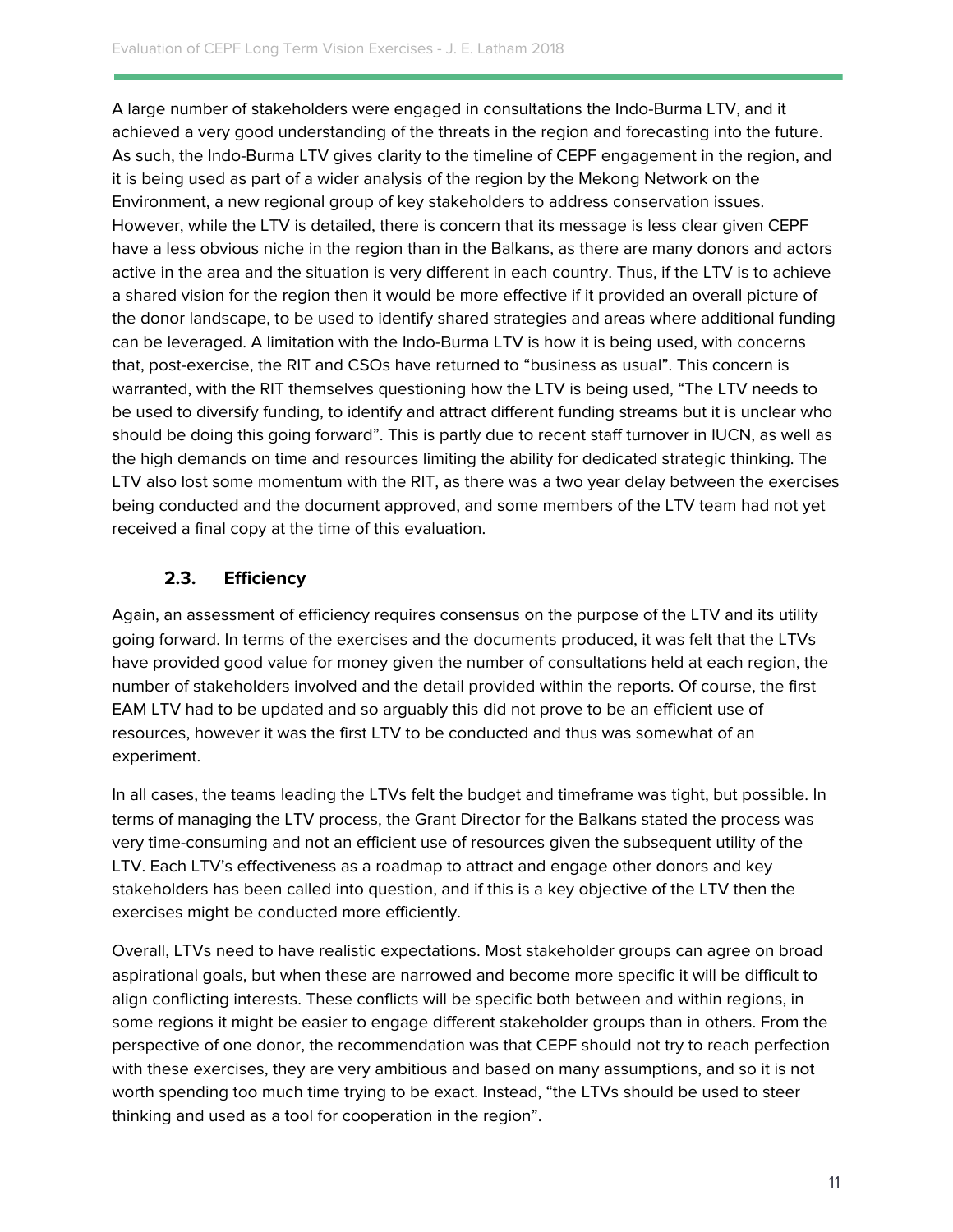A large number of stakeholders were engaged in consultations the Indo-Burma LTV, and it achieved a very good understanding of the threats in the region and forecasting into the future. As such, the Indo-Burma LTV gives clarity to the timeline of CEPF engagement in the region, and it is being used as part of a wider analysis of the region by the Mekong Network on the Environment, a new regional group of key stakeholders to address conservation issues. However, while the LTV is detailed, there is concern that its message is less clear given CEPF have a less obvious niche in the region than in the Balkans, as there are many donors and actors active in the area and the situation is very different in each country. Thus, if the LTV is to achieve a shared vision for the region then it would be more effective if it provided an overall picture of the donor landscape, to be used to identify shared strategies and areas where additional funding can be leveraged. A limitation with the Indo-Burma LTV is how it is being used, with concerns that, post-exercise, the RIT and CSOs have returned to "business as usual". This concern is warranted, with the RIT themselves questioning how the LTV is being used, "The LTV needs to be used to diversify funding, to identify and attract different funding streams but it is unclear who should be doing this going forward". This is partly due to recent staff turnover in IUCN, as well as the high demands on time and resources limiting the ability for dedicated strategic thinking. The LTV also lost some momentum with the RIT, as there was a two year delay between the exercises being conducted and the document approved, and some members of the LTV team had not yet received a final copy at the time of this evaluation.

## <span id="page-11-0"></span>**2.3. Efficiency**

Again, an assessment of efficiency requires consensus on the purpose of the LTV and its utility going forward. In terms of the exercises and the documents produced, it was felt that the LTVs have provided good value for money given the number of consultations held at each region, the number of stakeholders involved and the detail provided within the reports. Of course, the first EAM LTV had to be updated and so arguably this did not prove to be an efficient use of resources, however it was the first LTV to be conducted and thus was somewhat of an experiment.

In all cases, the teams leading the LTVs felt the budget and timeframe was tight, but possible. In terms of managing the LTV process, the Grant Director for the Balkans stated the process was very time-consuming and not an efficient use of resources given the subsequent utility of the LTV. Each LTV's effectiveness as a roadmap to attract and engage other donors and key stakeholders has been called into question, and if this is a key objective of the LTV then the exercises might be conducted more efficiently.

Overall, LTVs need to have realistic expectations. Most stakeholder groups can agree on broad aspirational goals, but when these are narrowed and become more specific it will be difficult to align conflicting interests. These conflicts will be specific both between and within regions, in some regions it might be easier to engage different stakeholder groups than in others. From the perspective of one donor, the recommendation was that CEPF should not try to reach perfection with these exercises, they are very ambitious and based on many assumptions, and so it is not worth spending too much time trying to be exact. Instead, "the LTVs should be used to steer thinking and used as a tool for cooperation in the region".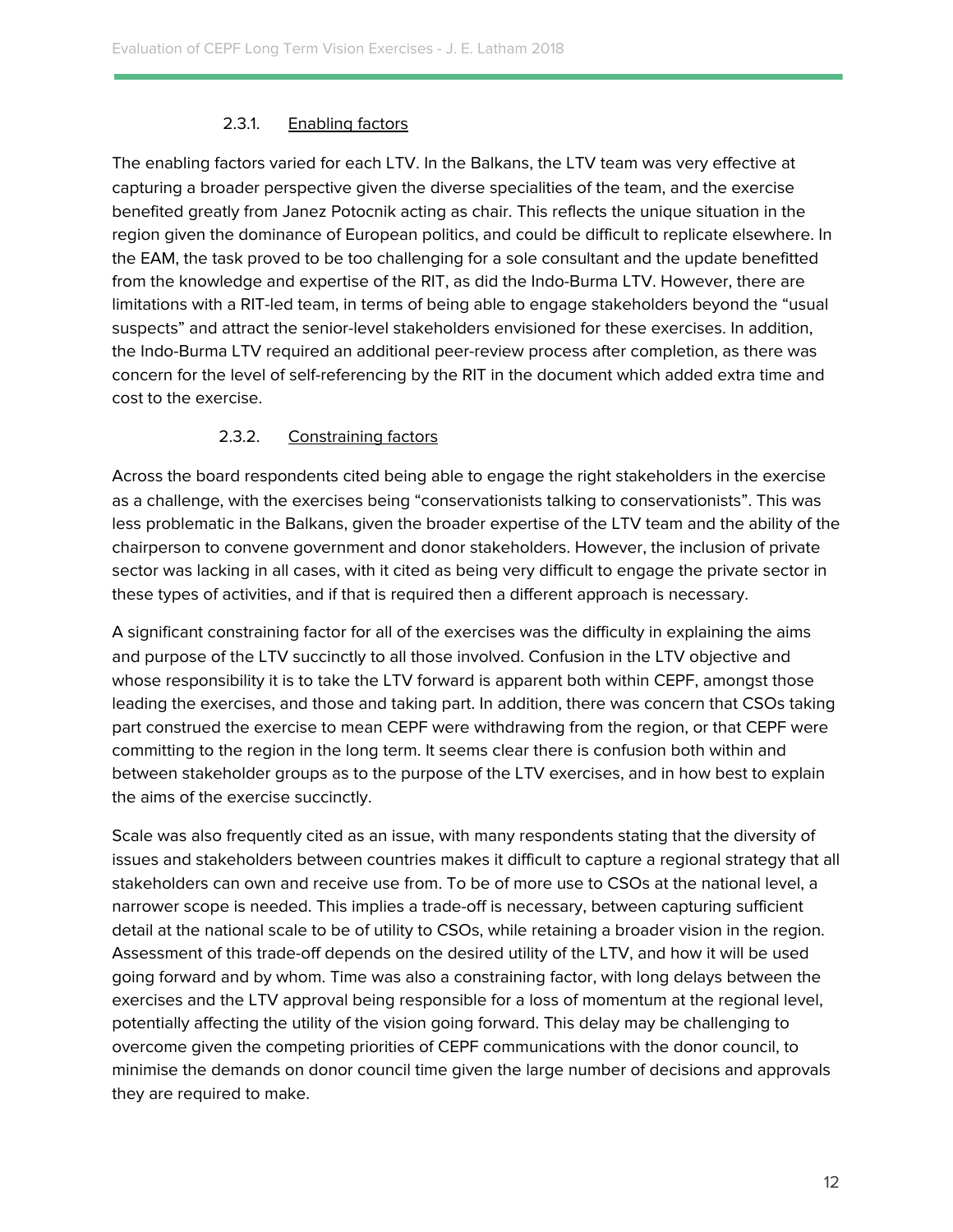## 2.3.1. Enabling factors

<span id="page-12-0"></span>The enabling factors varied for each LTV. In the Balkans, the LTV team was very effective at capturing a broader perspective given the diverse specialities of the team, and the exercise benefited greatly from Janez Potocnik acting as chair. This reflects the unique situation in the region given the dominance of European politics, and could be difficult to replicate elsewhere. In the EAM, the task proved to be too challenging for a sole consultant and the update benefitted from the knowledge and expertise of the RIT, as did the Indo-Burma LTV. However, there are limitations with a RIT-led team, in terms of being able to engage stakeholders beyond the "usual suspects" and attract the senior-level stakeholders envisioned for these exercises. In addition, the Indo-Burma LTV required an additional peer-review process after completion, as there was concern for the level of self-referencing by the RIT in the document which added extra time and cost to the exercise.

## 2.3.2. Constraining factors

<span id="page-12-1"></span>Across the board respondents cited being able to engage the right stakeholders in the exercise as a challenge, with the exercises being "conservationists talking to conservationists". This was less problematic in the Balkans, given the broader expertise of the LTV team and the ability of the chairperson to convene government and donor stakeholders. However, the inclusion of private sector was lacking in all cases, with it cited as being very difficult to engage the private sector in these types of activities, and if that is required then a different approach is necessary.

A significant constraining factor for all of the exercises was the difficulty in explaining the aims and purpose of the LTV succinctly to all those involved. Confusion in the LTV objective and whose responsibility it is to take the LTV forward is apparent both within CEPF, amongst those leading the exercises, and those and taking part. In addition, there was concern that CSOs taking part construed the exercise to mean CEPF were withdrawing from the region, or that CEPF were committing to the region in the long term. It seems clear there is confusion both within and between stakeholder groups as to the purpose of the LTV exercises, and in how best to explain the aims of the exercise succinctly.

Scale was also frequently cited as an issue, with many respondents stating that the diversity of issues and stakeholders between countries makes it difficult to capture a regional strategy that all stakeholders can own and receive use from. To be of more use to CSOs at the national level, a narrower scope is needed. This implies a trade-off is necessary, between capturing sufficient detail at the national scale to be of utility to CSOs, while retaining a broader vision in the region. Assessment of this trade-off depends on the desired utility of the LTV, and how it will be used going forward and by whom. Time was also a constraining factor, with long delays between the exercises and the LTV approval being responsible for a loss of momentum at the regional level, potentially affecting the utility of the vision going forward. This delay may be challenging to overcome given the competing priorities of CEPF communications with the donor council, to minimise the demands on donor council time given the large number of decisions and approvals they are required to make.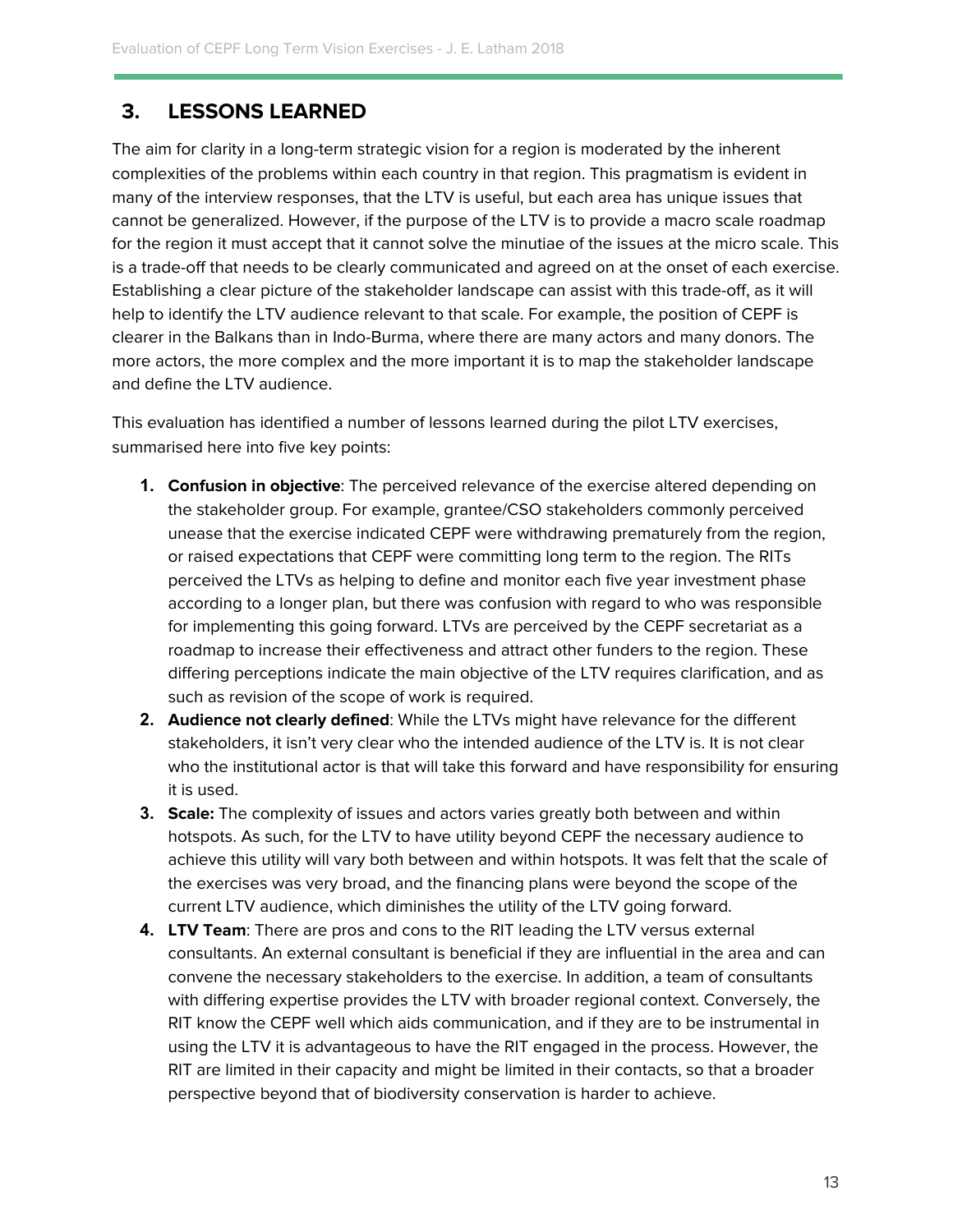## <span id="page-13-0"></span>**3. LESSONS LEARNED**

The aim for clarity in a long-term strategic vision for a region is moderated by the inherent complexities of the problems within each country in that region. This pragmatism is evident in many of the interview responses, that the LTV is useful, but each area has unique issues that cannot be generalized. However, if the purpose of the LTV is to provide a macro scale roadmap for the region it must accept that it cannot solve the minutiae of the issues at the micro scale. This is a trade-off that needs to be clearly communicated and agreed on at the onset of each exercise. Establishing a clear picture of the stakeholder landscape can assist with this trade-off, as it will help to identify the LTV audience relevant to that scale. For example, the position of CEPF is clearer in the Balkans than in Indo-Burma, where there are many actors and many donors. The more actors, the more complex and the more important it is to map the stakeholder landscape and define the LTV audience.

This evaluation has identified a number of lessons learned during the pilot LTV exercises, summarised here into five key points:

- **1. Confusion in objective**: The perceived relevance of the exercise altered depending on the stakeholder group. For example, grantee/CSO stakeholders commonly perceived unease that the exercise indicated CEPF were withdrawing prematurely from the region, or raised expectations that CEPF were committing long term to the region. The RITs perceived the LTVs as helping to define and monitor each five year investment phase according to a longer plan, but there was confusion with regard to who was responsible for implementing this going forward. LTVs are perceived by the CEPF secretariat as a roadmap to increase their effectiveness and attract other funders to the region. These differing perceptions indicate the main objective of the LTV requires clarification, and as such as revision of the scope of work is required.
- **2. Audience not clearly defined**: While the LTVs might have relevance for the different stakeholders, it isn't very clear who the intended audience of the LTV is. It is not clear who the institutional actor is that will take this forward and have responsibility for ensuring it is used.
- **3. Scale:** The complexity of issues and actors varies greatly both between and within hotspots. As such, for the LTV to have utility beyond CEPF the necessary audience to achieve this utility will vary both between and within hotspots. It was felt that the scale of the exercises was very broad, and the financing plans were beyond the scope of the current LTV audience, which diminishes the utility of the LTV going forward.
- **4. LTV Team**: There are pros and cons to the RIT leading the LTV versus external consultants. An external consultant is beneficial if they are influential in the area and can convene the necessary stakeholders to the exercise. In addition, a team of consultants with differing expertise provides the LTV with broader regional context. Conversely, the RIT know the CEPF well which aids communication, and if they are to be instrumental in using the LTV it is advantageous to have the RIT engaged in the process. However, the RIT are limited in their capacity and might be limited in their contacts, so that a broader perspective beyond that of biodiversity conservation is harder to achieve.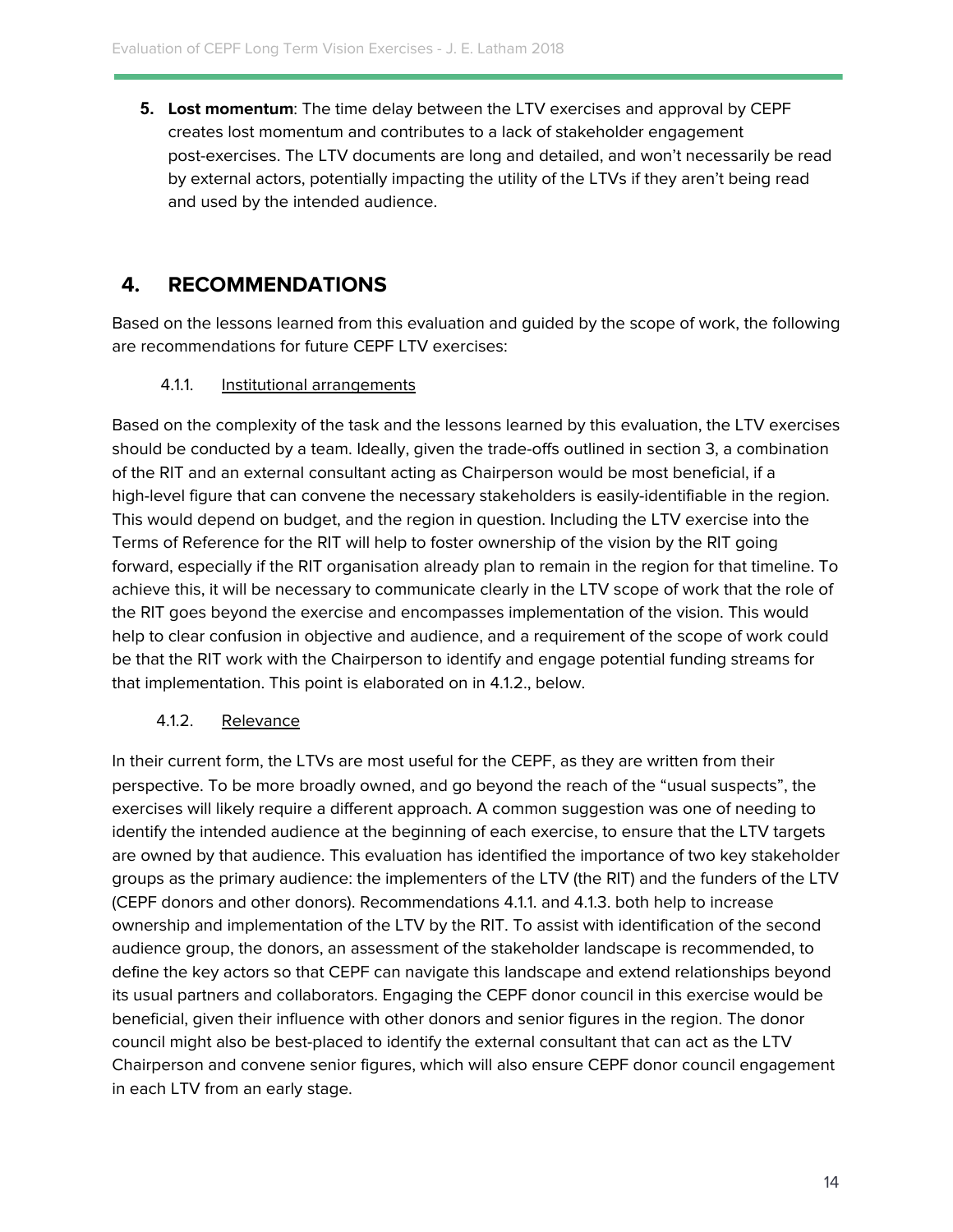**5. Lost momentum**: The time delay between the LTV exercises and approval by CEPF creates lost momentum and contributes to a lack of stakeholder engagement post-exercises. The LTV documents are long and detailed, and won't necessarily be read by external actors, potentially impacting the utility of the LTVs if they aren't being read and used by the intended audience.

## <span id="page-14-0"></span>**4. RECOMMENDATIONS**

<span id="page-14-1"></span>Based on the lessons learned from this evaluation and guided by the scope of work, the following are recommendations for future CEPF LTV exercises:

## 4.1.1. Institutional arrangements

Based on the complexity of the task and the lessons learned by this evaluation, the LTV exercises should be conducted by a team. Ideally, given the trade-offs outlined in section 3, a combination of the RIT and an external consultant acting as Chairperson would be most beneficial, if a high-level figure that can convene the necessary stakeholders is easily-identifiable in the region. This would depend on budget, and the region in question. Including the LTV exercise into the Terms of Reference for the RIT will help to foster ownership of the vision by the RIT going forward, especially if the RIT organisation already plan to remain in the region for that timeline. To achieve this, it will be necessary to communicate clearly in the LTV scope of work that the role of the RIT goes beyond the exercise and encompasses implementation of the vision. This would help to clear confusion in objective and audience, and a requirement of the scope of work could be that the RIT work with the Chairperson to identify and engage potential funding streams for that implementation. This point is elaborated on in 4.1.2., below.

## <span id="page-14-2"></span>4.1.2. Relevance

In their current form, the LTVs are most useful for the CEPF, as they are written from their perspective. To be more broadly owned, and go beyond the reach of the "usual suspects", the exercises will likely require a different approach. A common suggestion was one of needing to identify the intended audience at the beginning of each exercise, to ensure that the LTV targets are owned by that audience. This evaluation has identified the importance of two key stakeholder groups as the primary audience: the implementers of the LTV (the RIT) and the funders of the LTV (CEPF donors and other donors). Recommendations 4.1.1. and 4.1.3. both help to increase ownership and implementation of the LTV by the RIT. To assist with identification of the second audience group, the donors, an assessment of the stakeholder landscape is recommended, to define the key actors so that CEPF can navigate this landscape and extend relationships beyond its usual partners and collaborators. Engaging the CEPF donor council in this exercise would be beneficial, given their influence with other donors and senior figures in the region. The donor council might also be best-placed to identify the external consultant that can act as the LTV Chairperson and convene senior figures, which will also ensure CEPF donor council engagement in each LTV from an early stage.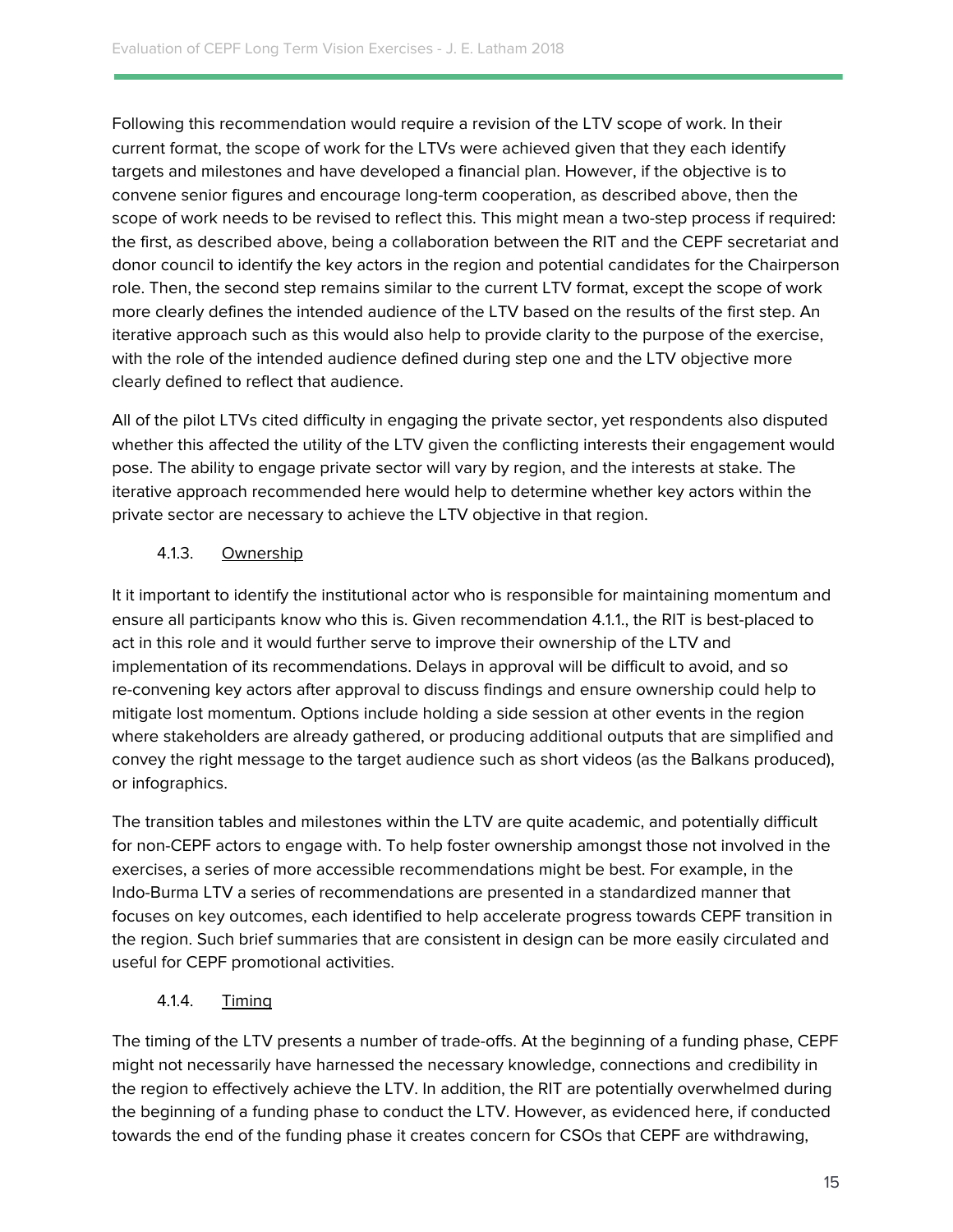Following this recommendation would require a revision of the LTV scope of work. In their current format, the scope of work for the LTVs were achieved given that they each identify targets and milestones and have developed a financial plan. However, if the objective is to convene senior figures and encourage long-term cooperation, as described above, then the scope of work needs to be revised to reflect this. This might mean a two-step process if required: the first, as described above, being a collaboration between the RIT and the CEPF secretariat and donor council to identify the key actors in the region and potential candidates for the Chairperson role. Then, the second step remains similar to the current LTV format, except the scope of work more clearly defines the intended audience of the LTV based on the results of the first step. An iterative approach such as this would also help to provide clarity to the purpose of the exercise, with the role of the intended audience defined during step one and the LTV objective more clearly defined to reflect that audience.

All of the pilot LTVs cited difficulty in engaging the private sector, yet respondents also disputed whether this affected the utility of the LTV given the conflicting interests their engagement would pose. The ability to engage private sector will vary by region, and the interests at stake. The iterative approach recommended here would help to determine whether key actors within the private sector are necessary to achieve the LTV objective in that region.

## 4.1.3. Ownership

It it important to identify the institutional actor who is responsible for maintaining momentum and ensure all participants know who this is. Given recommendation 4.1.1., the RIT is best-placed to act in this role and it would further serve to improve their ownership of the LTV and implementation of its recommendations. Delays in approval will be difficult to avoid, and so re-convening key actors after approval to discuss findings and ensure ownership could help to mitigate lost momentum. Options include holding a side session at other events in the region where stakeholders are already gathered, or producing additional outputs that are simplified and convey the right message to the target audience such as short videos (as the Balkans produced), or infographics.

The transition tables and milestones within the LTV are quite academic, and potentially difficult for non-CEPF actors to engage with. To help foster ownership amongst those not involved in the exercises, a series of more accessible recommendations might be best. For example, in the Indo-Burma LTV a series of recommendations are presented in a standardized manner that focuses on key outcomes, each identified to help accelerate progress towards CEPF transition in the region. Such brief summaries that are consistent in design can be more easily circulated and useful for CEPF promotional activities.

## <span id="page-15-0"></span>4.1.4. Timing

The timing of the LTV presents a number of trade-offs. At the beginning of a funding phase, CEPF might not necessarily have harnessed the necessary knowledge, connections and credibility in the region to effectively achieve the LTV. In addition, the RIT are potentially overwhelmed during the beginning of a funding phase to conduct the LTV. However, as evidenced here, if conducted towards the end of the funding phase it creates concern for CSOs that CEPF are withdrawing,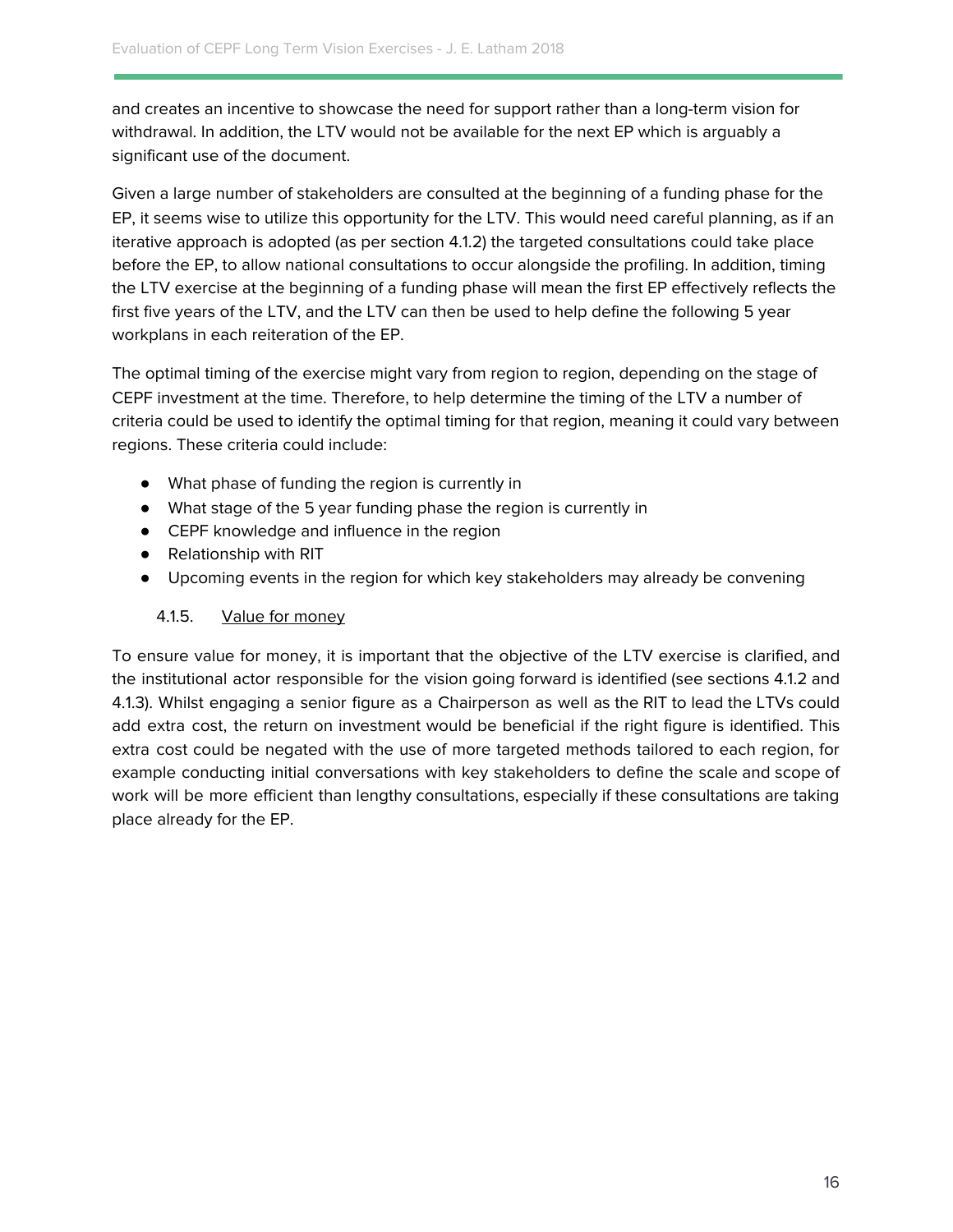and creates an incentive to showcase the need for support rather than a long-term vision for withdrawal. In addition, the LTV would not be available for the next EP which is arguably a significant use of the document.

Given a large number of stakeholders are consulted at the beginning of a funding phase for the EP, it seems wise to utilize this opportunity for the LTV. This would need careful planning, as if an iterative approach is adopted (as per section 4.1.2) the targeted consultations could take place before the EP, to allow national consultations to occur alongside the profiling. In addition, timing the LTV exercise at the beginning of a funding phase will mean the first EP effectively reflects the first five years of the LTV, and the LTV can then be used to help define the following 5 year workplans in each reiteration of the EP.

The optimal timing of the exercise might vary from region to region, depending on the stage of CEPF investment at the time. Therefore, to help determine the timing of the LTV a number of criteria could be used to identify the optimal timing for that region, meaning it could vary between regions. These criteria could include:

- What phase of funding the region is currently in
- What stage of the 5 year funding phase the region is currently in
- CEPF knowledge and influence in the region
- Relationship with RIT
- <span id="page-16-0"></span>● Upcoming events in the region for which key stakeholders may already be convening

#### 4.1.5. Value for money

To ensure value for money, it is important that the objective of the LTV exercise is clarified, and the institutional actor responsible for the vision going forward is identified (see sections 4.1.2 and 4.1.3). Whilst engaging a senior figure as a Chairperson as well as the RIT to lead the LTVs could add extra cost, the return on investment would be beneficial if the right figure is identified. This extra cost could be negated with the use of more targeted methods tailored to each region, for example conducting initial conversations with key stakeholders to define the scale and scope of work will be more efficient than lengthy consultations, especially if these consultations are taking place already for the EP.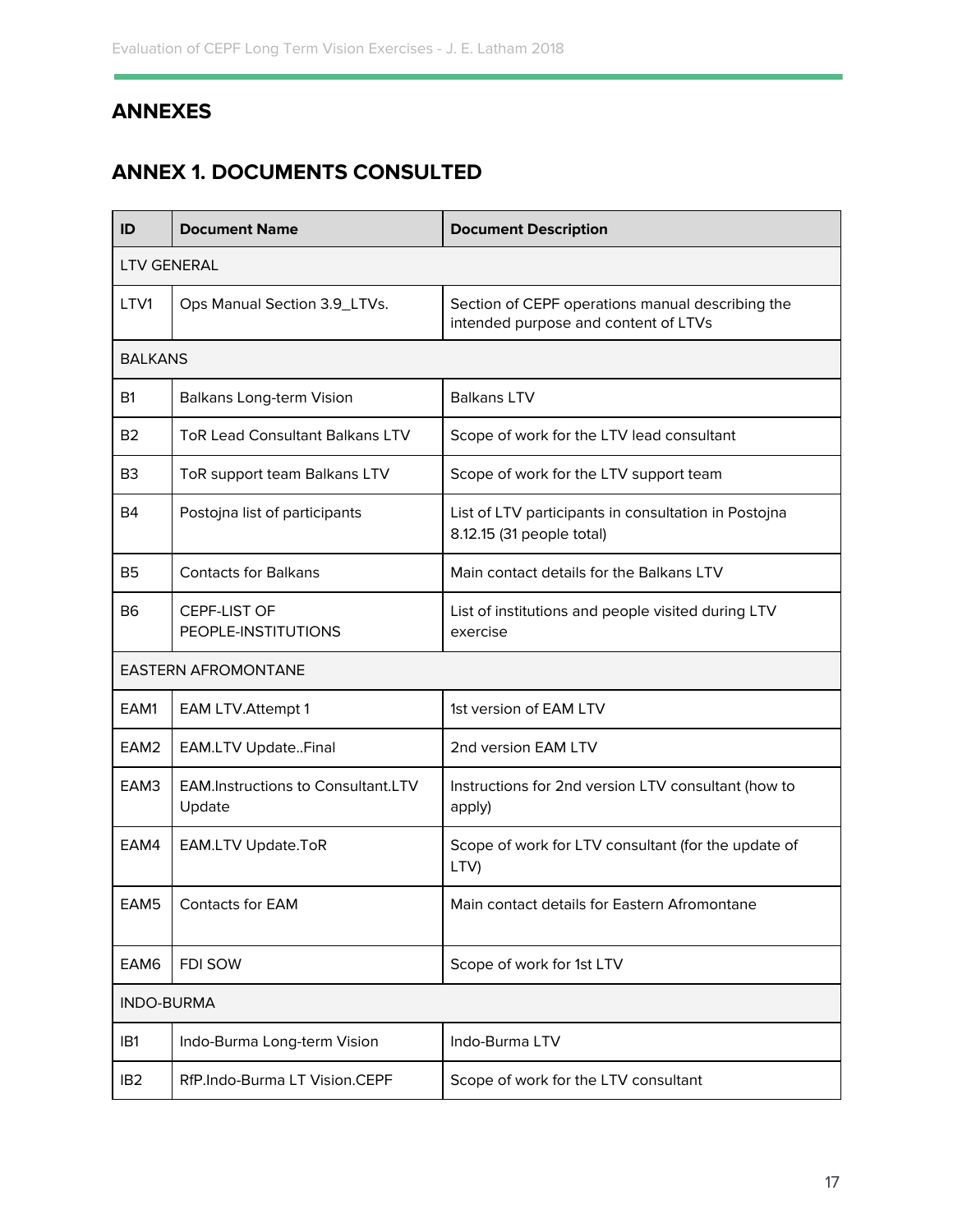## <span id="page-17-0"></span>**ANNEXES**

## <span id="page-17-1"></span>**ANNEX 1. DOCUMENTS CONSULTED**

| ID                         | <b>Document Name</b>                                | <b>Document Description</b>                                                              |  |  |  |
|----------------------------|-----------------------------------------------------|------------------------------------------------------------------------------------------|--|--|--|
| <b>LTV GENERAL</b>         |                                                     |                                                                                          |  |  |  |
| LTV1                       | Ops Manual Section 3.9_LTVs.                        | Section of CEPF operations manual describing the<br>intended purpose and content of LTVs |  |  |  |
| <b>BALKANS</b>             |                                                     |                                                                                          |  |  |  |
| <b>B1</b>                  | <b>Balkans Long-term Vision</b>                     | <b>Balkans LTV</b>                                                                       |  |  |  |
| <b>B2</b>                  | <b>ToR Lead Consultant Balkans LTV</b>              | Scope of work for the LTV lead consultant                                                |  |  |  |
| B <sub>3</sub>             | ToR support team Balkans LTV                        | Scope of work for the LTV support team                                                   |  |  |  |
| B4                         | Postojna list of participants                       | List of LTV participants in consultation in Postojna<br>8.12.15 (31 people total)        |  |  |  |
| <b>B5</b>                  | <b>Contacts for Balkans</b>                         | Main contact details for the Balkans LTV                                                 |  |  |  |
| <b>B6</b>                  | CEPF-LIST OF<br>PEOPLE-INSTITUTIONS                 | List of institutions and people visited during LTV<br>exercise                           |  |  |  |
| <b>EASTERN AFROMONTANE</b> |                                                     |                                                                                          |  |  |  |
| EAM1                       | <b>EAM LTV.Attempt 1</b>                            | 1st version of EAM LTV                                                                   |  |  |  |
| EAM <sub>2</sub>           | <b>EAM.LTV UpdateFinal</b>                          | 2nd version EAM LTV                                                                      |  |  |  |
| EAM3                       | <b>EAM.Instructions to Consultant.LTV</b><br>Update | Instructions for 2nd version LTV consultant (how to<br>apply)                            |  |  |  |
| EAM4                       | <b>EAM.LTV Update.ToR</b>                           | Scope of work for LTV consultant (for the update of<br>LTV)                              |  |  |  |
| EAM5                       | Contacts for EAM                                    | Main contact details for Eastern Afromontane                                             |  |  |  |
| EAM6                       | FDI SOW                                             | Scope of work for 1st LTV                                                                |  |  |  |
| <b>INDO-BURMA</b>          |                                                     |                                                                                          |  |  |  |
| IB1                        | Indo-Burma Long-term Vision                         | Indo-Burma LTV                                                                           |  |  |  |
| IB <sub>2</sub>            | RfP.Indo-Burma LT Vision.CEPF                       | Scope of work for the LTV consultant                                                     |  |  |  |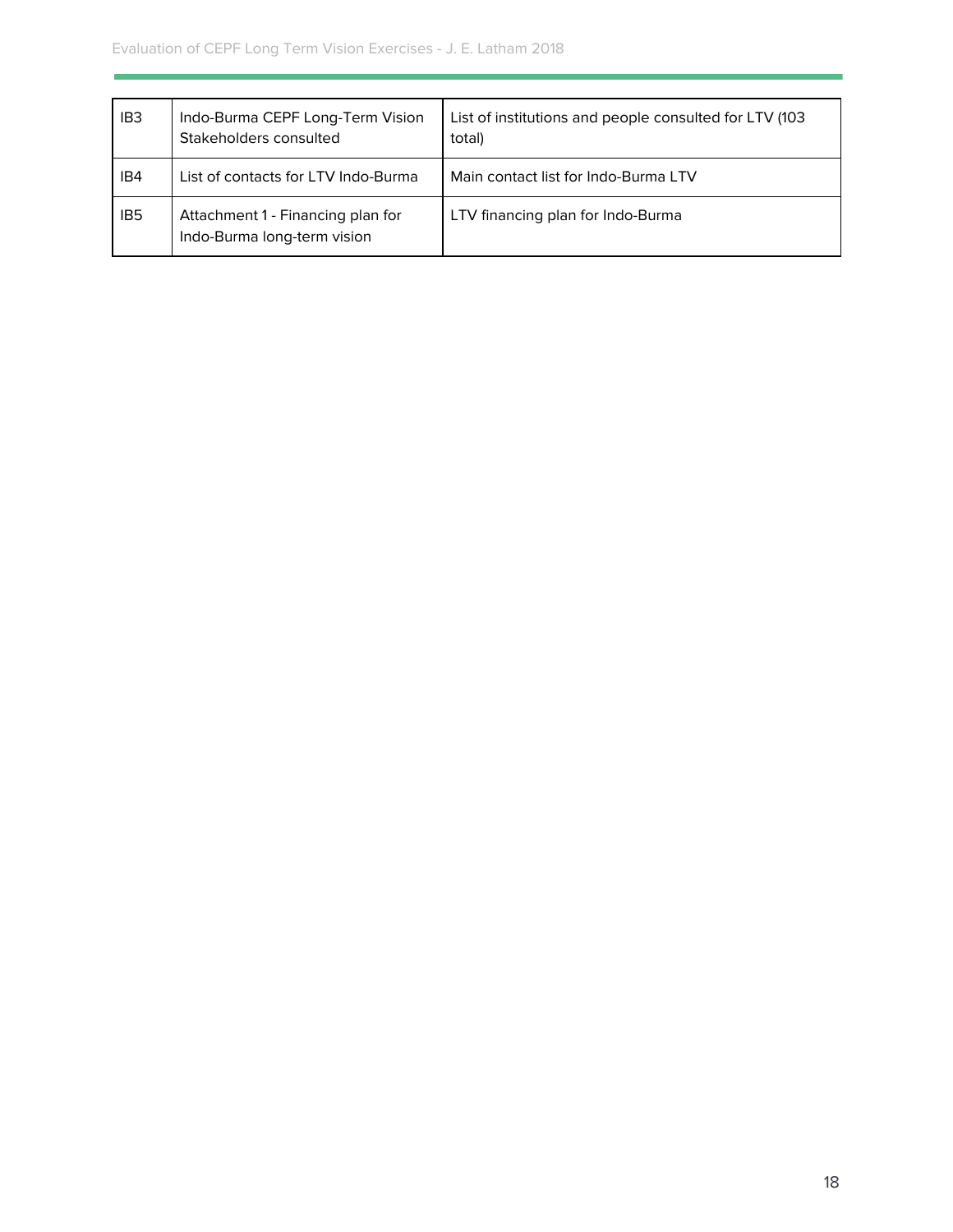| IB <sub>3</sub> | Indo-Burma CEPF Long-Term Vision<br>Stakeholders consulted       | List of institutions and people consulted for LTV (103<br>total) |
|-----------------|------------------------------------------------------------------|------------------------------------------------------------------|
| IB4             | List of contacts for LTV Indo-Burma                              | Main contact list for Indo-Burma LTV                             |
| IB <sub>5</sub> | Attachment 1 - Financing plan for<br>Indo-Burma long-term vision | LTV financing plan for Indo-Burma                                |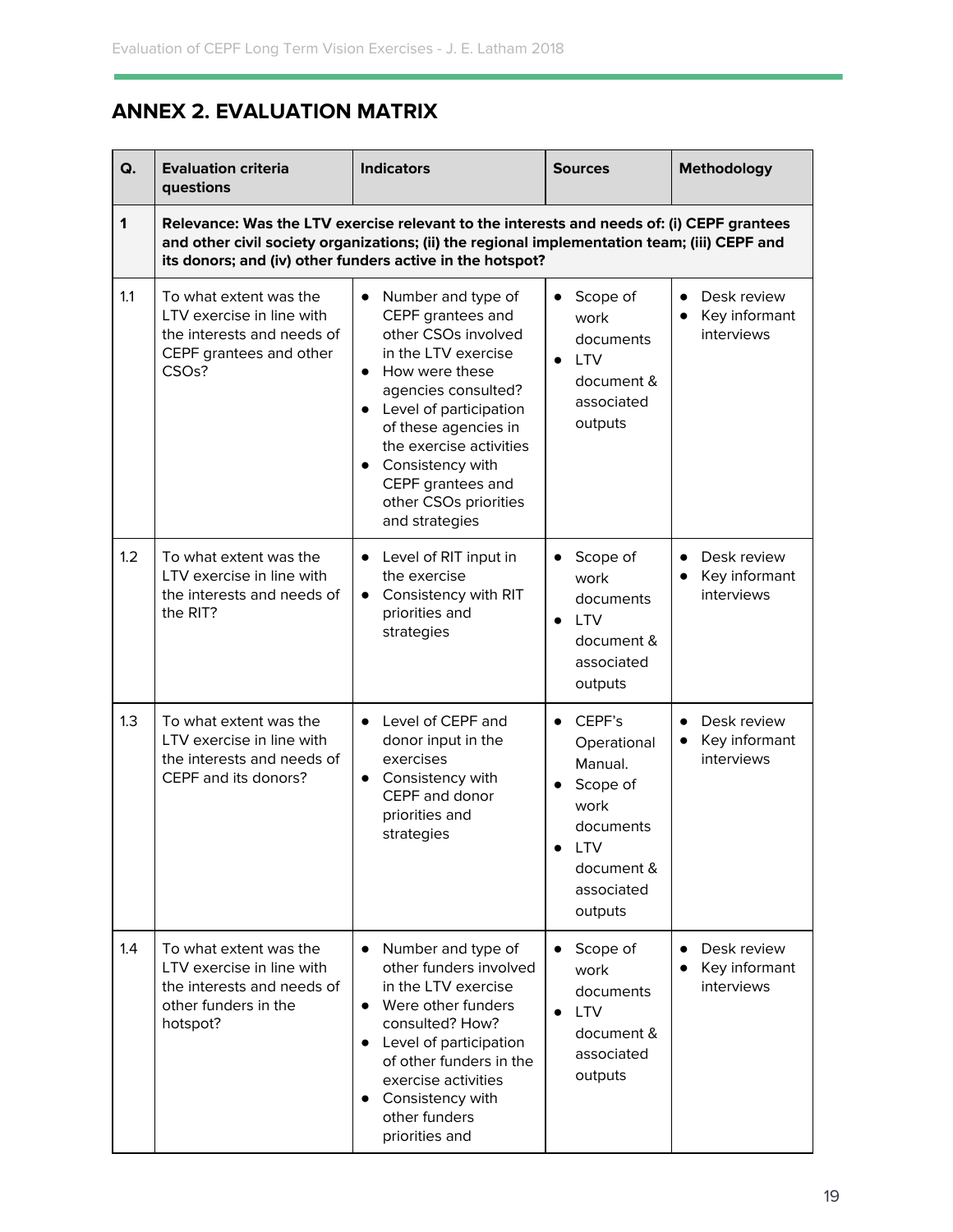## <span id="page-19-0"></span>**ANNEX 2. EVALUATION MATRIX**

| Q.  | <b>Evaluation criteria</b><br>questions                                                                                                                                                                                                                | <b>Indicators</b>                                                                                                                                                                                                                                                                                            | <b>Sources</b>                                                                                                                      | <b>Methodology</b>                                                   |  |
|-----|--------------------------------------------------------------------------------------------------------------------------------------------------------------------------------------------------------------------------------------------------------|--------------------------------------------------------------------------------------------------------------------------------------------------------------------------------------------------------------------------------------------------------------------------------------------------------------|-------------------------------------------------------------------------------------------------------------------------------------|----------------------------------------------------------------------|--|
| 1   | Relevance: Was the LTV exercise relevant to the interests and needs of: (i) CEPF grantees<br>and other civil society organizations; (ii) the regional implementation team; (iii) CEPF and<br>its donors; and (iv) other funders active in the hotspot? |                                                                                                                                                                                                                                                                                                              |                                                                                                                                     |                                                                      |  |
| 1.1 | To what extent was the<br>LTV exercise in line with<br>the interests and needs of<br>CEPF grantees and other<br>CSO <sub>s</sub> ?                                                                                                                     | Number and type of<br>$\bullet$<br>CEPF grantees and<br>other CSOs involved<br>in the LTV exercise<br>How were these<br>agencies consulted?<br>Level of participation<br>of these agencies in<br>the exercise activities<br>Consistency with<br>CEPF grantees and<br>other CSOs priorities<br>and strategies | Scope of<br>$\bullet$<br>work<br>documents<br><b>LTV</b><br>document &<br>associated<br>outputs                                     | Desk review<br>$\bullet$<br>Key informant<br>$\bullet$<br>interviews |  |
| 1.2 | To what extent was the<br>LTV exercise in line with<br>the interests and needs of<br>the RIT?                                                                                                                                                          | Level of RIT input in<br>the exercise<br>Consistency with RIT<br>priorities and<br>strategies                                                                                                                                                                                                                | Scope of<br>$\bullet$<br>work<br>documents<br><b>LTV</b><br>$\bullet$<br>document &<br>associated<br>outputs                        | Desk review<br>$\bullet$<br>Key informant<br>interviews              |  |
| 1.3 | To what extent was the<br>LTV exercise in line with<br>the interests and needs of<br>CEPF and its donors?                                                                                                                                              | Level of CEPF and<br>donor input in the<br>exercises<br>Consistency with<br>CEPF and donor<br>priorities and<br>strategies                                                                                                                                                                                   | CEPF's<br>$\bullet$<br>Operational<br>Manual.<br>Scope of<br>work<br>documents<br><b>LTV</b><br>document &<br>associated<br>outputs | Desk review<br>$\bullet$<br>Key informant<br>interviews              |  |
| 1.4 | To what extent was the<br>LTV exercise in line with<br>the interests and needs of<br>other funders in the<br>hotspot?                                                                                                                                  | Number and type of<br>other funders involved<br>in the LTV exercise<br>Were other funders<br>consulted? How?<br>Level of participation<br>of other funders in the<br>exercise activities<br>Consistency with<br>other funders<br>priorities and                                                              | Scope of<br>work<br>documents<br><b>LTV</b><br>$\bullet$<br>document &<br>associated<br>outputs                                     | Desk review<br>Key informant<br>interviews                           |  |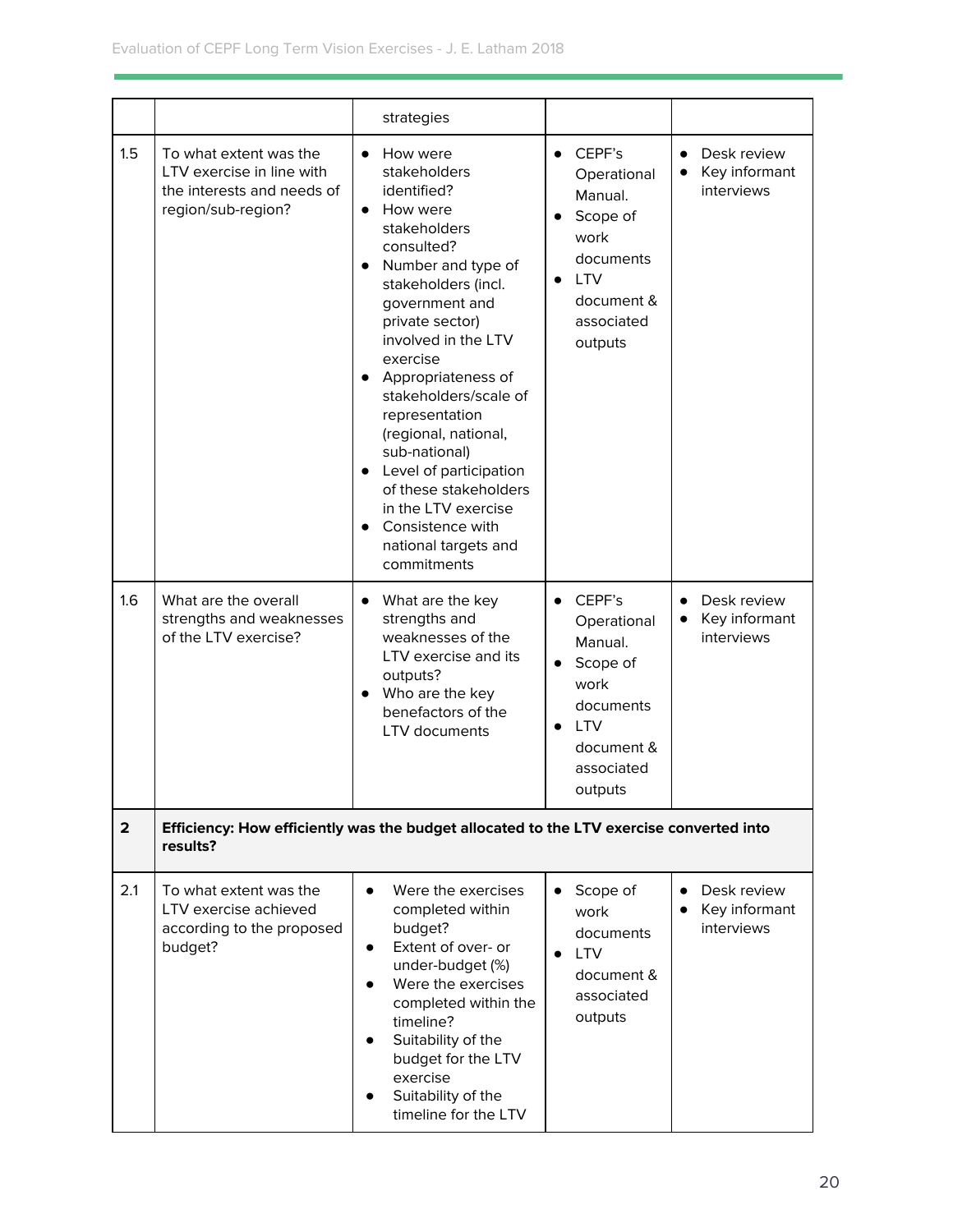|                         |                                                                                                         | strategies                                                                                                                                                                                                                                                                                                                                                                                                                                                                      |                                                                                                                                                               |                                                         |
|-------------------------|---------------------------------------------------------------------------------------------------------|---------------------------------------------------------------------------------------------------------------------------------------------------------------------------------------------------------------------------------------------------------------------------------------------------------------------------------------------------------------------------------------------------------------------------------------------------------------------------------|---------------------------------------------------------------------------------------------------------------------------------------------------------------|---------------------------------------------------------|
| 1.5                     | To what extent was the<br>LTV exercise in line with<br>the interests and needs of<br>region/sub-region? | How were<br>$\bullet$<br>stakeholders<br>identified?<br>How were<br>$\bullet$<br>stakeholders<br>consulted?<br>Number and type of<br>stakeholders (incl.<br>government and<br>private sector)<br>involved in the LTV<br>exercise<br>Appropriateness of<br>stakeholders/scale of<br>representation<br>(regional, national,<br>sub-national)<br>Level of participation<br>of these stakeholders<br>in the LTV exercise<br>Consistence with<br>national targets and<br>commitments | CEPF's<br>$\bullet$<br>Operational<br>Manual.<br>Scope of<br>$\bullet$<br>work<br>documents<br><b>LTV</b><br>$\bullet$<br>document &<br>associated<br>outputs | Desk review<br>$\bullet$<br>Key informant<br>interviews |
| 1.6                     | What are the overall<br>strengths and weaknesses<br>of the LTV exercise?                                | What are the key<br>$\bullet$<br>strengths and<br>weaknesses of the<br>LTV exercise and its<br>outputs?<br>Who are the key<br>$\bullet$<br>benefactors of the<br>LTV documents                                                                                                                                                                                                                                                                                                  | CEPF's<br>$\bullet$<br>Operational<br>Manual.<br>Scope of<br>work<br>documents<br><b>LTV</b><br>document &<br>associated<br>outputs                           | Desk review<br>$\bullet$<br>Key informant<br>interviews |
| $\overline{\mathbf{2}}$ | results?                                                                                                | Efficiency: How efficiently was the budget allocated to the LTV exercise converted into                                                                                                                                                                                                                                                                                                                                                                                         |                                                                                                                                                               |                                                         |
| 2.1                     | To what extent was the<br>LTV exercise achieved<br>according to the proposed<br>budget?                 | Were the exercises<br>$\bullet$<br>completed within<br>budget?<br>Extent of over- or<br>٠<br>under-budget (%)<br>Were the exercises<br>$\bullet$<br>completed within the<br>timeline?<br>Suitability of the<br>$\bullet$<br>budget for the LTV<br>exercise<br>Suitability of the<br>$\bullet$<br>timeline for the LTV                                                                                                                                                           | Scope of<br>$\bullet$<br>work<br>documents<br><b>LTV</b><br>document &<br>associated<br>outputs                                                               | Desk review<br>$\bullet$<br>Key informant<br>interviews |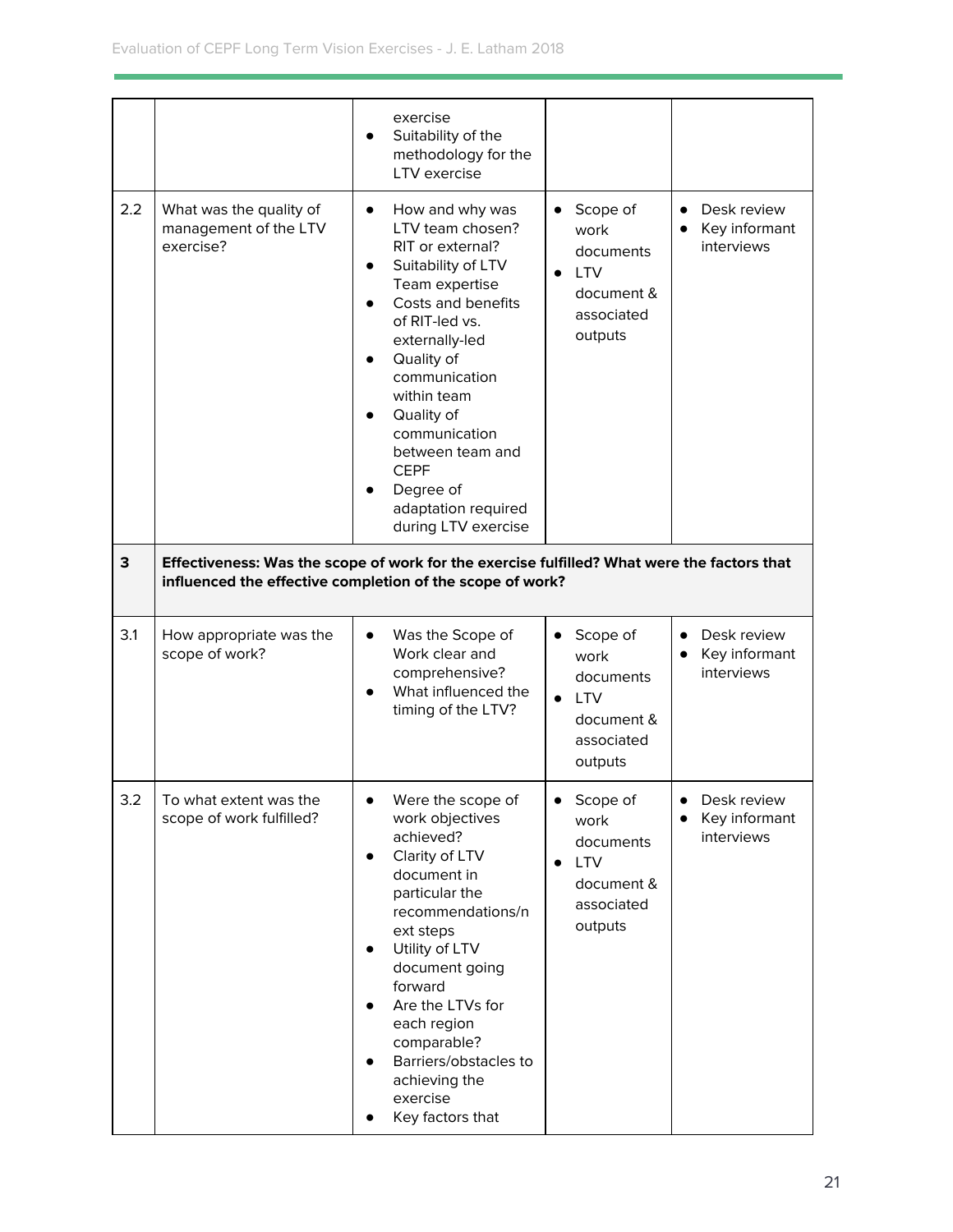|     |                                                               | exercise<br>Suitability of the<br>methodology for the<br>LTV exercise                                                                                                                                                                                                                                                                                          |                                                                                                 |                                                         |
|-----|---------------------------------------------------------------|----------------------------------------------------------------------------------------------------------------------------------------------------------------------------------------------------------------------------------------------------------------------------------------------------------------------------------------------------------------|-------------------------------------------------------------------------------------------------|---------------------------------------------------------|
| 2.2 | What was the quality of<br>management of the LTV<br>exercise? | How and why was<br>$\bullet$<br>LTV team chosen?<br>RIT or external?<br>Suitability of LTV<br>$\bullet$<br>Team expertise<br>Costs and benefits<br>of RIT-led vs.<br>externally-led<br>Quality of<br>communication<br>within team<br>Quality of<br>communication<br>between team and<br><b>CEPF</b><br>Degree of<br>adaptation required<br>during LTV exercise | Scope of<br>work<br>documents<br><b>LTV</b><br>document &<br>associated<br>outputs              | Desk review<br>$\bullet$<br>Key informant<br>interviews |
| 3   |                                                               | Effectiveness: Was the scope of work for the exercise fulfilled? What were the factors that<br>influenced the effective completion of the scope of work?                                                                                                                                                                                                       |                                                                                                 |                                                         |
| 3.1 | How appropriate was the<br>scope of work?                     | Was the Scope of<br>$\bullet$<br>Work clear and<br>comprehensive?<br>What influenced the<br>timing of the LTV?                                                                                                                                                                                                                                                 | Scope of<br>work<br>documents<br><b>LTV</b><br>$\bullet$<br>document &<br>associated<br>outputs | Desk review<br>Key informant<br>interviews              |
| 3.2 | To what extent was the<br>scope of work fulfilled?            | Were the scope of<br>$\bullet$<br>work objectives<br>achieved?<br>Clarity of LTV<br>$\bullet$<br>document in<br>particular the<br>recommendations/n<br>ext steps<br>Utility of LTV<br>$\bullet$<br>document going<br>forward<br>Are the LTVs for<br>each region<br>comparable?<br>Barriers/obstacles to<br>achieving the<br>exercise<br>Key factors that       | Scope of<br>work<br>documents<br><b>LTV</b><br>document &<br>associated<br>outputs              | Desk review<br>$\bullet$<br>Key informant<br>interviews |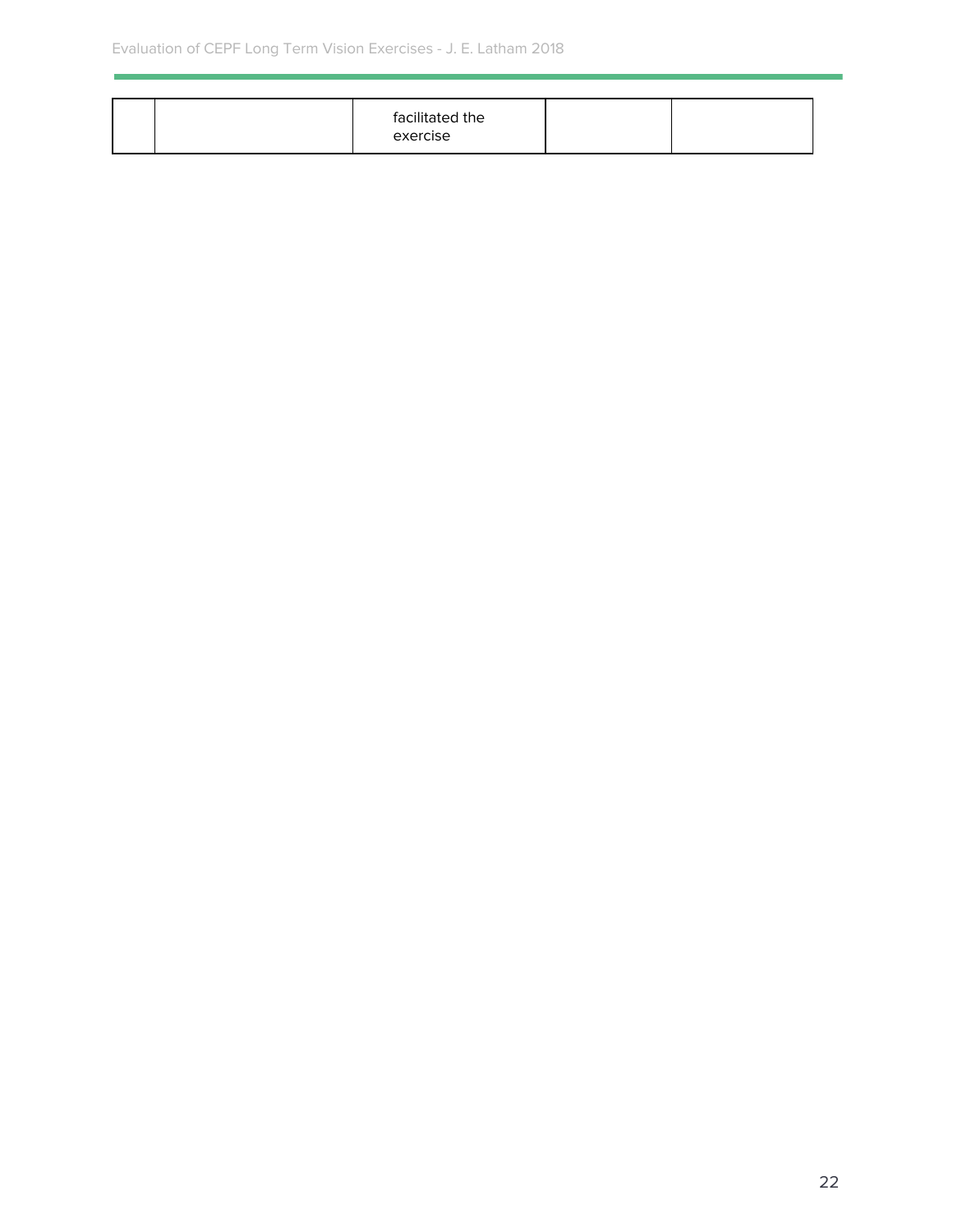| facilitated the<br>exercise |
|-----------------------------|
|-----------------------------|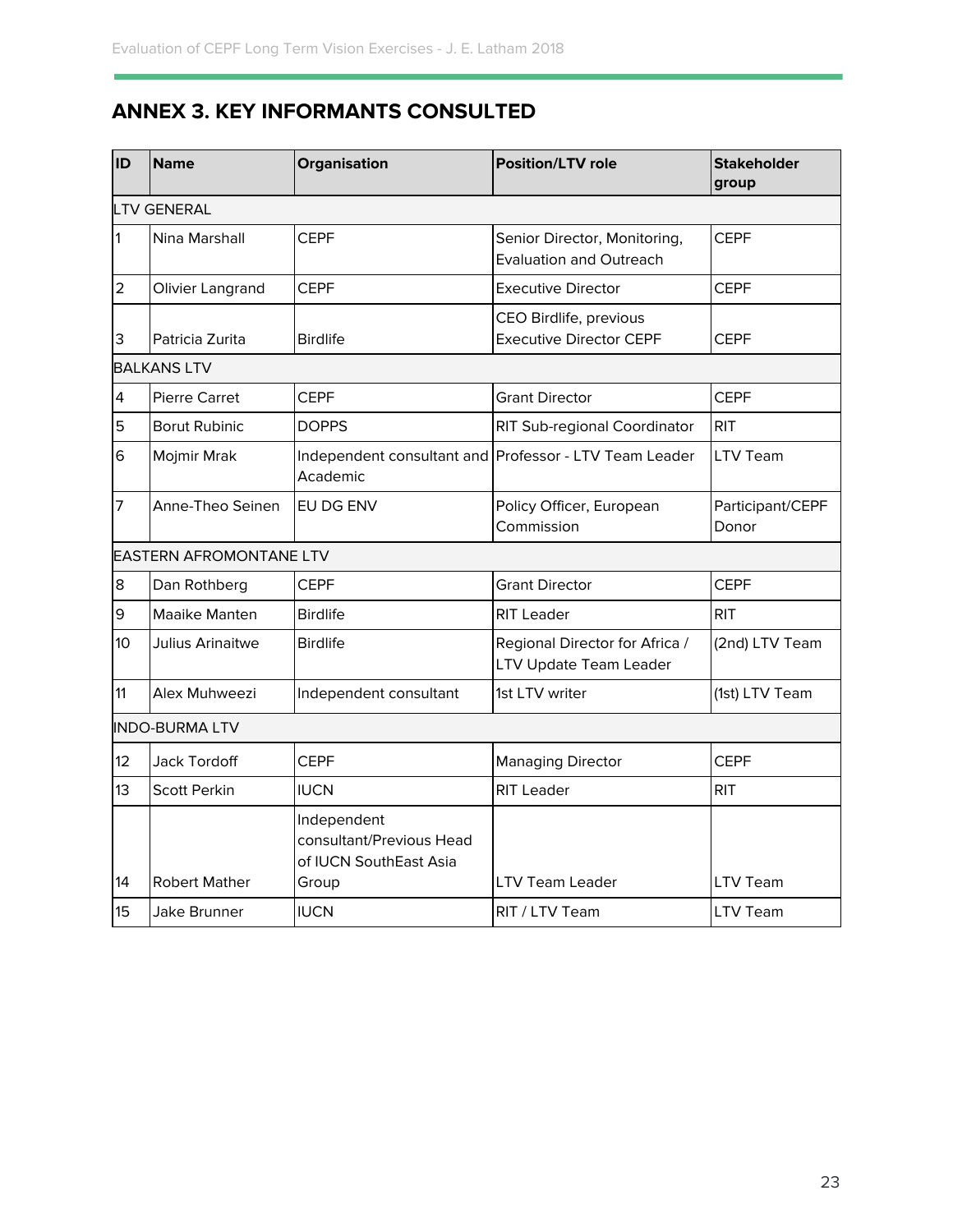## <span id="page-23-0"></span>**ANNEX 3. KEY INFORMANTS CONSULTED**

| ID             | Name                           | Organisation                                                      | <b>Position/LTV role</b>                                       | <b>Stakeholder</b><br>group |  |  |  |
|----------------|--------------------------------|-------------------------------------------------------------------|----------------------------------------------------------------|-----------------------------|--|--|--|
|                | <b>LTV GENERAL</b>             |                                                                   |                                                                |                             |  |  |  |
| 1              | Nina Marshall                  | <b>CEPF</b>                                                       | Senior Director, Monitoring,<br><b>Evaluation and Outreach</b> | <b>CEPF</b>                 |  |  |  |
| $\overline{2}$ | Olivier Langrand               | <b>CEPF</b>                                                       | <b>Executive Director</b>                                      | <b>CEPF</b>                 |  |  |  |
| 3              | Patricia Zurita                | <b>Birdlife</b>                                                   | CEO Birdlife, previous<br><b>Executive Director CEPF</b>       | <b>CEPF</b>                 |  |  |  |
|                | <b>BALKANS LTV</b>             |                                                                   |                                                                |                             |  |  |  |
| 4              | <b>Pierre Carret</b>           | <b>CEPF</b>                                                       | <b>Grant Director</b>                                          | <b>CEPF</b>                 |  |  |  |
| 5              | <b>Borut Rubinic</b>           | <b>DOPPS</b>                                                      | RIT Sub-regional Coordinator                                   | <b>RIT</b>                  |  |  |  |
| 6              | Mojmir Mrak                    | Academic                                                          | Independent consultant and Professor - LTV Team Leader         | <b>LTV Team</b>             |  |  |  |
| 7              | Anne-Theo Seinen               | EU DG ENV                                                         | Policy Officer, European<br>Commission                         | Participant/CEPF<br>Donor   |  |  |  |
|                | <b>EASTERN AFROMONTANE LTV</b> |                                                                   |                                                                |                             |  |  |  |
| 8              | Dan Rothberg                   | <b>CEPF</b>                                                       | <b>Grant Director</b>                                          | <b>CEPF</b>                 |  |  |  |
| 9              | Maaike Manten                  | <b>Birdlife</b>                                                   | <b>RIT Leader</b>                                              | <b>RIT</b>                  |  |  |  |
| 10             | Julius Arinaitwe               | <b>Birdlife</b>                                                   | Regional Director for Africa /<br>LTV Update Team Leader       | (2nd) LTV Team              |  |  |  |
| 11             | Alex Muhweezi                  | Independent consultant                                            | 1st LTV writer                                                 | (1st) LTV Team              |  |  |  |
|                | <b>INDO-BURMA LTV</b>          |                                                                   |                                                                |                             |  |  |  |
| 12             | Jack Tordoff                   | <b>CEPF</b>                                                       | <b>Managing Director</b>                                       | <b>CEPF</b>                 |  |  |  |
| 13             | <b>Scott Perkin</b>            | <b>IUCN</b>                                                       | <b>RIT Leader</b>                                              | <b>RIT</b>                  |  |  |  |
|                |                                | Independent<br>consultant/Previous Head<br>of IUCN SouthEast Asia |                                                                |                             |  |  |  |
| 14             | <b>Robert Mather</b>           | Group                                                             | <b>LTV Team Leader</b>                                         | <b>LTV Team</b>             |  |  |  |
| 15             | Jake Brunner                   | <b>IUCN</b>                                                       | RIT / LTV Team                                                 | LTV Team                    |  |  |  |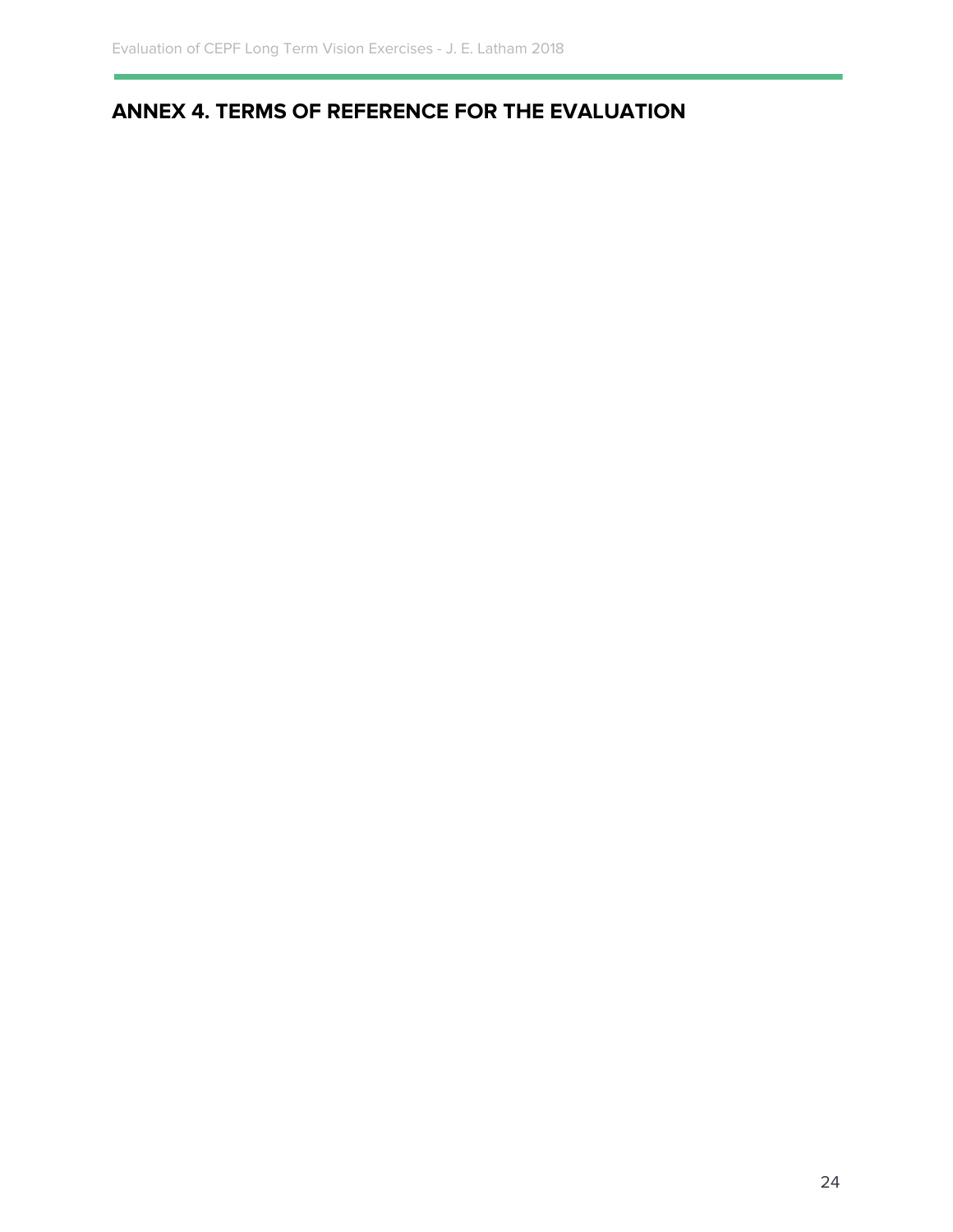## <span id="page-24-0"></span>**ANNEX 4. TERMS OF REFERENCE FOR THE EVALUATION**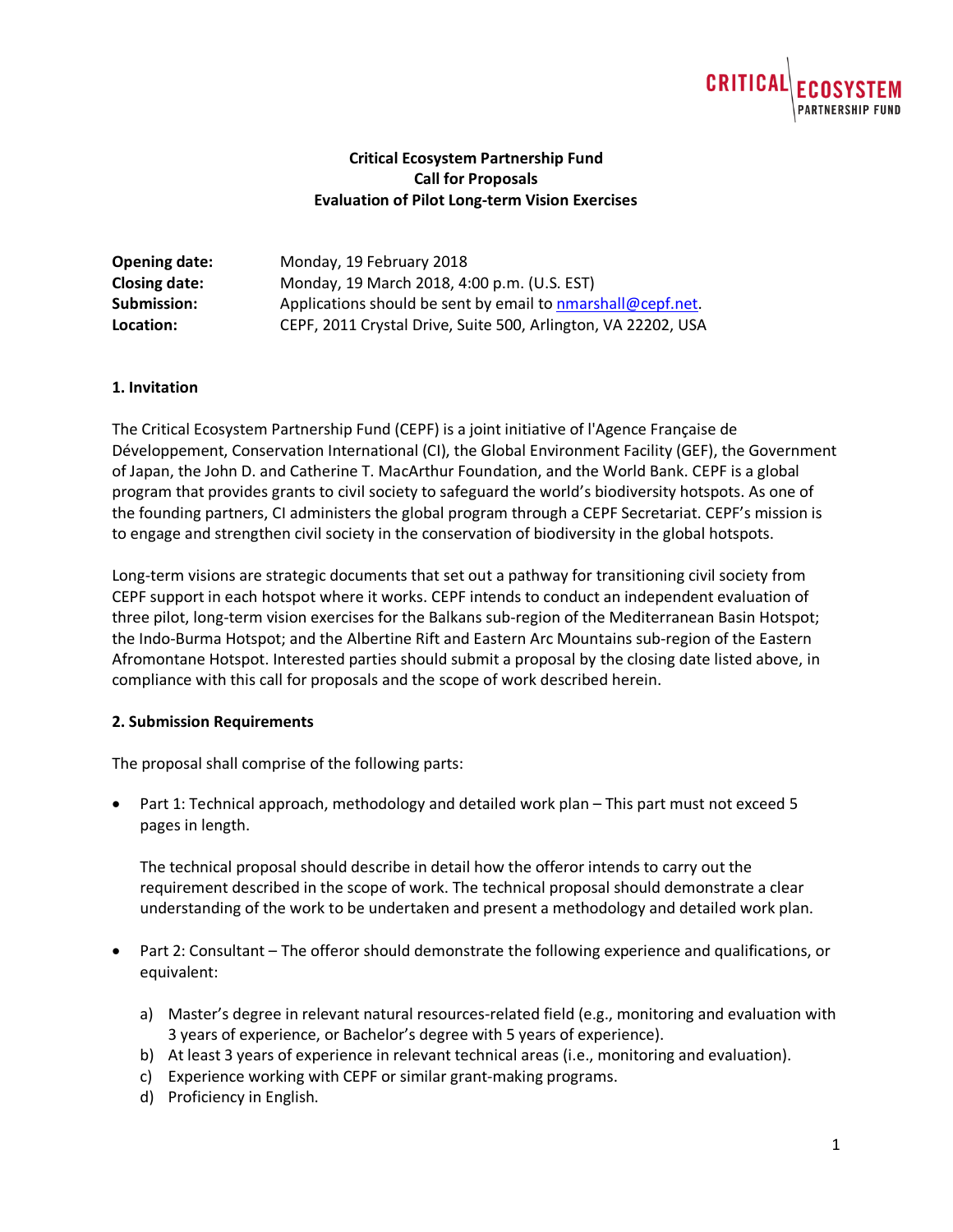# **CRITIC**

## **Critical Ecosystem Partnership Fund Call for Proposals Evaluation of Pilot Long-term Vision Exercises**

| <b>Opening date:</b> | Monday, 19 February 2018                                      |
|----------------------|---------------------------------------------------------------|
| <b>Closing date:</b> | Monday, 19 March 2018, 4:00 p.m. (U.S. EST)                   |
| Submission:          | Applications should be sent by email to nmarshall@cepf.net.   |
| Location:            | CEPF, 2011 Crystal Drive, Suite 500, Arlington, VA 22202, USA |

#### **1. Invitation**

The Critical Ecosystem Partnership Fund (CEPF) is a joint initiative of l'Agence Française de Développement, Conservation International (CI), the Global Environment Facility (GEF), the Government of Japan, the John D. and Catherine T. MacArthur Foundation, and the World Bank. CEPF is a global program that provides grants to civil society to safeguard the world's biodiversity hotspots. As one of the founding partners, CI administers the global program through a CEPF Secretariat. CEPF's mission is to engage and strengthen civil society in the conservation of biodiversity in the global hotspots.

Long-term visions are strategic documents that set out a pathway for transitioning civil society from CEPF support in each hotspot where it works. CEPF intends to conduct an independent evaluation of three pilot, long-term vision exercises for the Balkans sub-region of the Mediterranean Basin Hotspot; the Indo-Burma Hotspot; and the Albertine Rift and Eastern Arc Mountains sub-region of the Eastern Afromontane Hotspot. Interested parties should submit a proposal by the closing date listed above, in compliance with this call for proposals and the scope of work described herein.

#### **2. Submission Requirements**

The proposal shall comprise of the following parts:

• Part 1: Technical approach, methodology and detailed work plan – This part must not exceed 5 pages in length.

The technical proposal should describe in detail how the offeror intends to carry out the requirement described in the scope of work. The technical proposal should demonstrate a clear understanding of the work to be undertaken and present a methodology and detailed work plan.

- Part 2: Consultant The offeror should demonstrate the following experience and qualifications, or equivalent:
	- a) Master's degree in relevant natural resources-related field (e.g., monitoring and evaluation with 3 years of experience, or Bachelor's degree with 5 years of experience).
	- b) At least 3 years of experience in relevant technical areas (i.e., monitoring and evaluation).
	- c) Experience working with CEPF or similar grant-making programs.
	- d) Proficiency in English.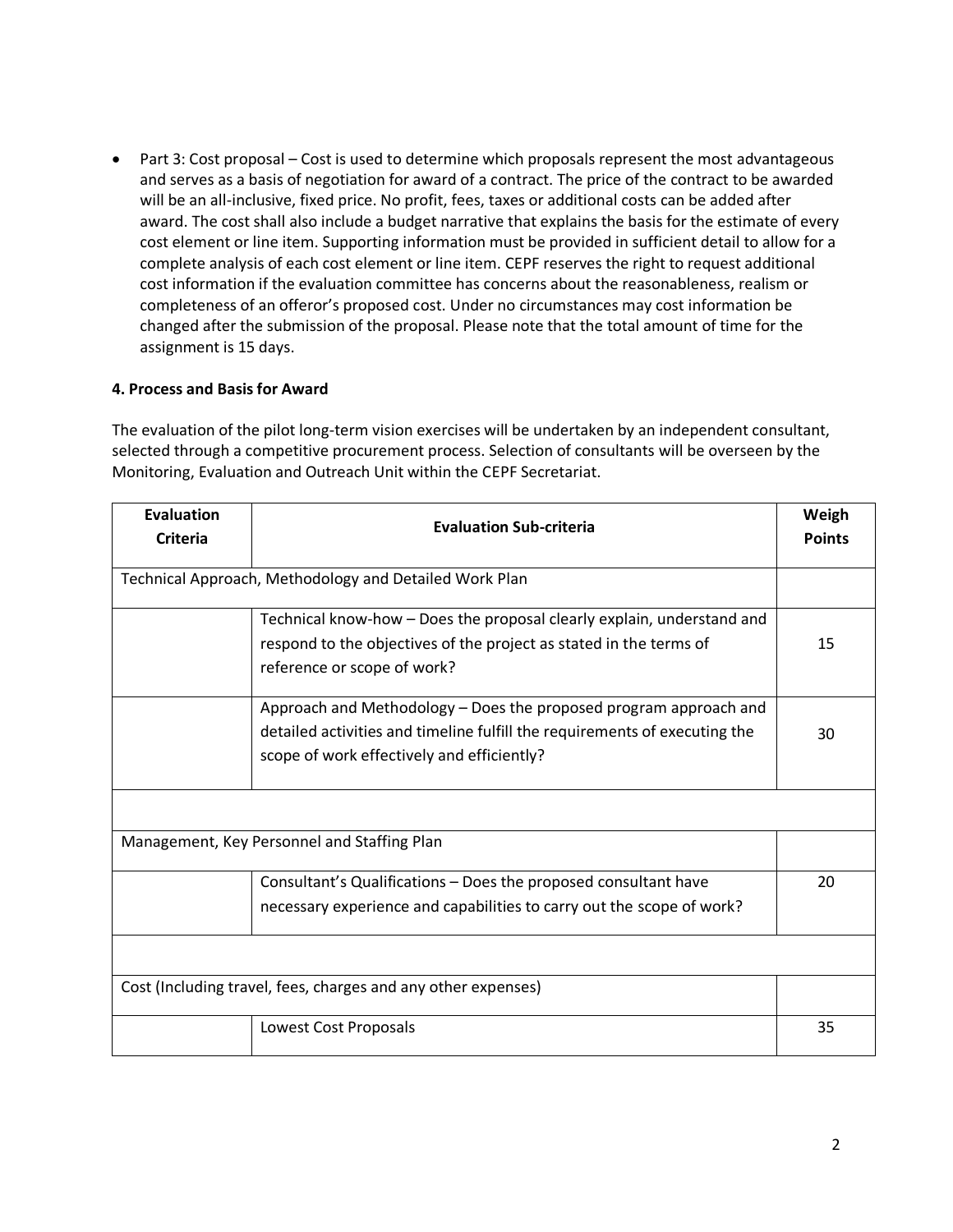• Part 3: Cost proposal – Cost is used to determine which proposals represent the most advantageous and serves as a basis of negotiation for award of a contract. The price of the contract to be awarded will be an all-inclusive, fixed price. No profit, fees, taxes or additional costs can be added after award. The cost shall also include a budget narrative that explains the basis for the estimate of every cost element or line item. Supporting information must be provided in sufficient detail to allow for a complete analysis of each cost element or line item. CEPF reserves the right to request additional cost information if the evaluation committee has concerns about the reasonableness, realism or completeness of an offeror's proposed cost. Under no circumstances may cost information be changed after the submission of the proposal. Please note that the total amount of time for the assignment is 15 days.

## **4. Process and Basis for Award**

The evaluation of the pilot long-term vision exercises will be undertaken by an independent consultant, selected through a competitive procurement process. Selection of consultants will be overseen by the Monitoring, Evaluation and Outreach Unit within the CEPF Secretariat.

| <b>Evaluation</b><br>Criteria | <b>Evaluation Sub-criteria</b>                                                                                                                                                                | Weigh<br><b>Points</b> |  |  |
|-------------------------------|-----------------------------------------------------------------------------------------------------------------------------------------------------------------------------------------------|------------------------|--|--|
|                               | Technical Approach, Methodology and Detailed Work Plan                                                                                                                                        |                        |  |  |
|                               | Technical know-how – Does the proposal clearly explain, understand and<br>respond to the objectives of the project as stated in the terms of<br>reference or scope of work?                   | 15                     |  |  |
|                               | Approach and Methodology – Does the proposed program approach and<br>detailed activities and timeline fulfill the requirements of executing the<br>scope of work effectively and efficiently? | 30                     |  |  |
|                               |                                                                                                                                                                                               |                        |  |  |
|                               | Management, Key Personnel and Staffing Plan                                                                                                                                                   |                        |  |  |
|                               | Consultant's Qualifications - Does the proposed consultant have<br>necessary experience and capabilities to carry out the scope of work?                                                      | 20                     |  |  |
|                               |                                                                                                                                                                                               |                        |  |  |
|                               | Cost (Including travel, fees, charges and any other expenses)                                                                                                                                 |                        |  |  |
|                               | Lowest Cost Proposals                                                                                                                                                                         | 35                     |  |  |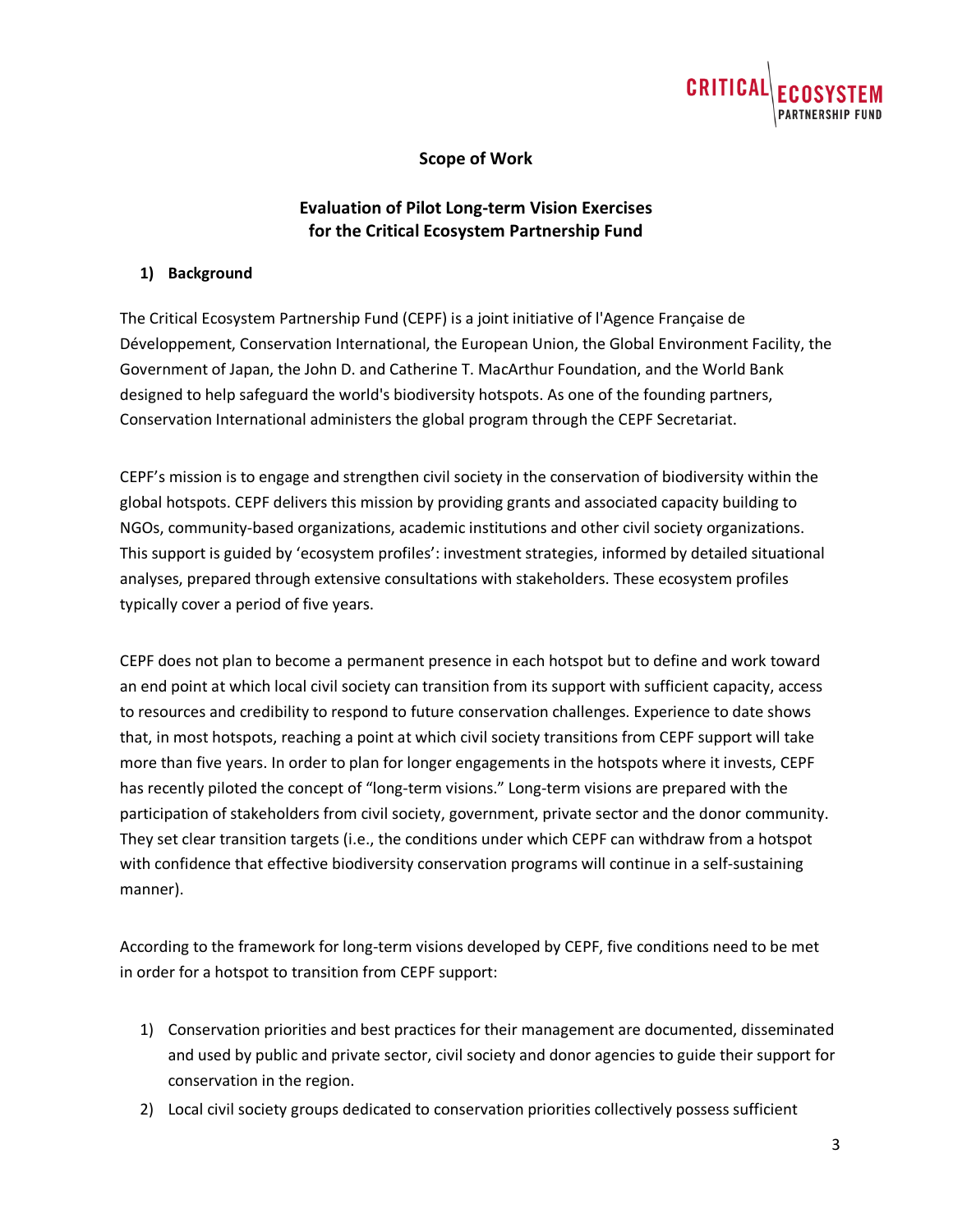

## **Scope of Work**

## **Evaluation of Pilot Long-term Vision Exercises for the Critical Ecosystem Partnership Fund**

#### **1) Background**

The Critical Ecosystem Partnership Fund (CEPF) is a joint initiative of l'Agence Française de Développement, Conservation International, the European Union, the Global Environment Facility, the Government of Japan, the John D. and Catherine T. MacArthur Foundation, and the World Bank designed to help safeguard the world's biodiversity hotspots. As one of the founding partners, Conservation International administers the global program through the CEPF Secretariat.

CEPF's mission is to engage and strengthen civil society in the conservation of biodiversity within the global hotspots. CEPF delivers this mission by providing grants and associated capacity building to NGOs, community-based organizations, academic institutions and other civil society organizations. This support is guided by 'ecosystem profiles': investment strategies, informed by detailed situational analyses, prepared through extensive consultations with stakeholders. These ecosystem profiles typically cover a period of five years.

CEPF does not plan to become a permanent presence in each hotspot but to define and work toward an end point at which local civil society can transition from its support with sufficient capacity, access to resources and credibility to respond to future conservation challenges. Experience to date shows that, in most hotspots, reaching a point at which civil society transitions from CEPF support will take more than five years. In order to plan for longer engagements in the hotspots where it invests, CEPF has recently piloted the concept of "long-term visions." Long-term visions are prepared with the participation of stakeholders from civil society, government, private sector and the donor community. They set clear transition targets (i.e., the conditions under which CEPF can withdraw from a hotspot with confidence that effective biodiversity conservation programs will continue in a self-sustaining manner).

According to the framework for long-term visions developed by CEPF, five conditions need to be met in order for a hotspot to transition from CEPF support:

- 1) Conservation priorities and best practices for their management are documented, disseminated and used by public and private sector, civil society and donor agencies to guide their support for conservation in the region.
- 2) Local civil society groups dedicated to conservation priorities collectively possess sufficient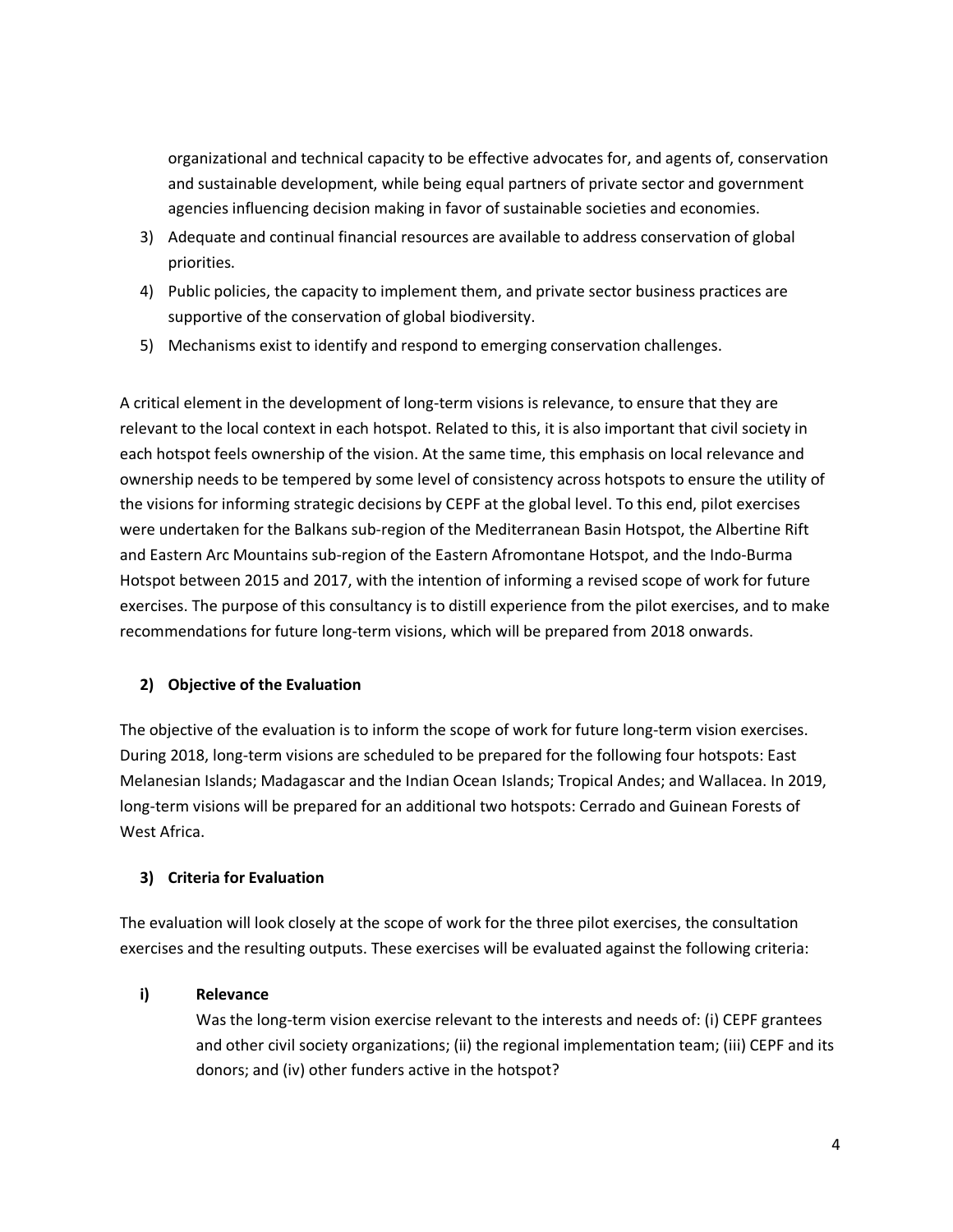organizational and technical capacity to be effective advocates for, and agents of, conservation and sustainable development, while being equal partners of private sector and government agencies influencing decision making in favor of sustainable societies and economies.

- 3) Adequate and continual financial resources are available to address conservation of global priorities.
- 4) Public policies, the capacity to implement them, and private sector business practices are supportive of the conservation of global biodiversity.
- 5) Mechanisms exist to identify and respond to emerging conservation challenges.

A critical element in the development of long-term visions is relevance, to ensure that they are relevant to the local context in each hotspot. Related to this, it is also important that civil society in each hotspot feels ownership of the vision. At the same time, this emphasis on local relevance and ownership needs to be tempered by some level of consistency across hotspots to ensure the utility of the visions for informing strategic decisions by CEPF at the global level. To this end, pilot exercises were undertaken for the Balkans sub-region of the Mediterranean Basin Hotspot, the Albertine Rift and Eastern Arc Mountains sub-region of the Eastern Afromontane Hotspot, and the Indo-Burma Hotspot between 2015 and 2017, with the intention of informing a revised scope of work for future exercises. The purpose of this consultancy is to distill experience from the pilot exercises, and to make recommendations for future long-term visions, which will be prepared from 2018 onwards.

## **2) Objective of the Evaluation**

The objective of the evaluation is to inform the scope of work for future long-term vision exercises. During 2018, long-term visions are scheduled to be prepared for the following four hotspots: East Melanesian Islands; Madagascar and the Indian Ocean Islands; Tropical Andes; and Wallacea. In 2019, long-term visions will be prepared for an additional two hotspots: Cerrado and Guinean Forests of West Africa.

#### **3) Criteria for Evaluation**

The evaluation will look closely at the scope of work for the three pilot exercises, the consultation exercises and the resulting outputs. These exercises will be evaluated against the following criteria:

## **i) Relevance**

Was the long-term vision exercise relevant to the interests and needs of: (i) CEPF grantees and other civil society organizations; (ii) the regional implementation team; (iii) CEPF and its donors; and (iv) other funders active in the hotspot?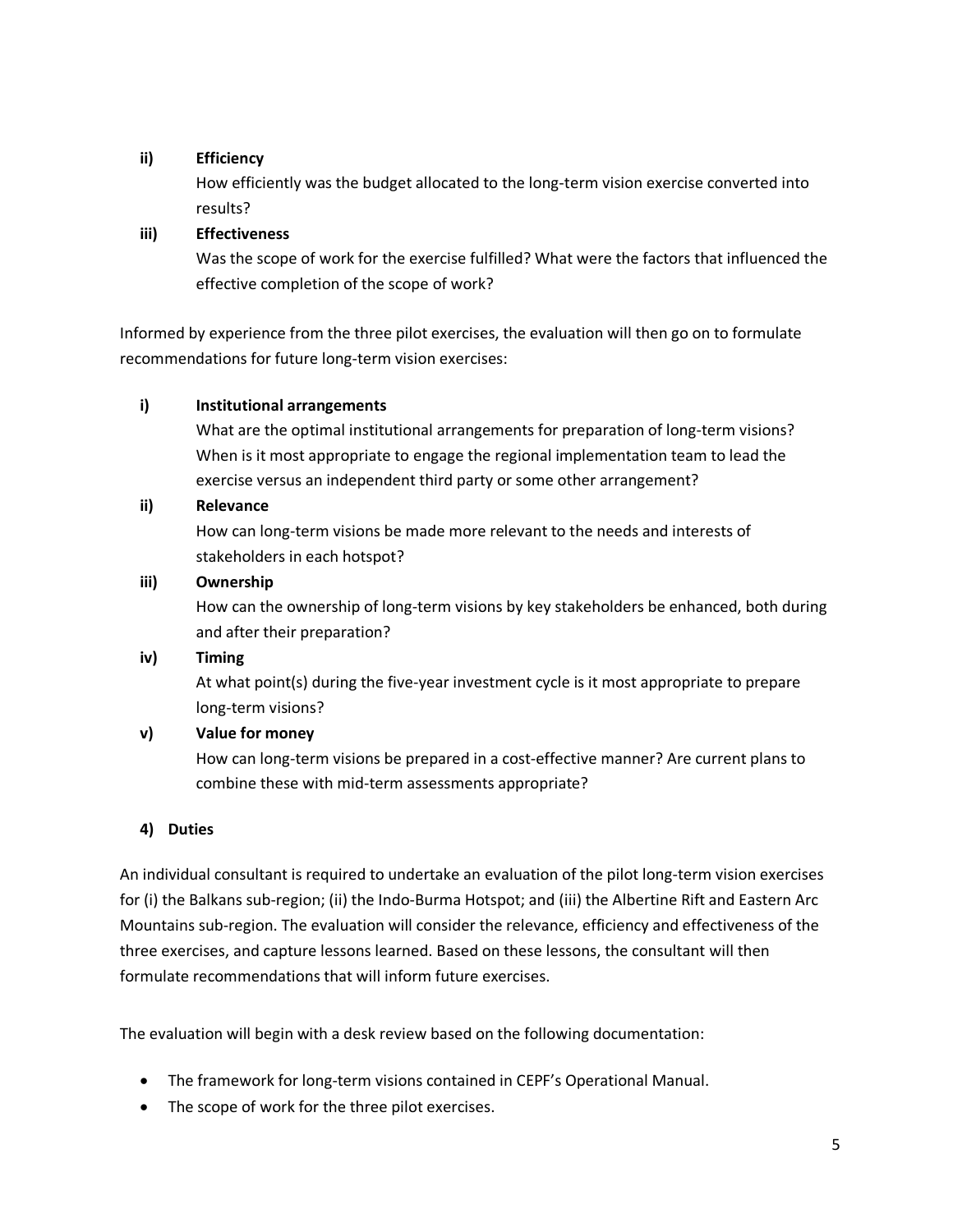## **ii) Efficiency**

How efficiently was the budget allocated to the long-term vision exercise converted into results?

## **iii) Effectiveness**

Was the scope of work for the exercise fulfilled? What were the factors that influenced the effective completion of the scope of work?

Informed by experience from the three pilot exercises, the evaluation will then go on to formulate recommendations for future long-term vision exercises:

## **i) Institutional arrangements**

What are the optimal institutional arrangements for preparation of long-term visions? When is it most appropriate to engage the regional implementation team to lead the exercise versus an independent third party or some other arrangement?

## **ii) Relevance**

How can long-term visions be made more relevant to the needs and interests of stakeholders in each hotspot?

## **iii) Ownership**

How can the ownership of long-term visions by key stakeholders be enhanced, both during and after their preparation?

## **iv) Timing**

At what point(s) during the five-year investment cycle is it most appropriate to prepare long-term visions?

## **v) Value for money**

How can long-term visions be prepared in a cost-effective manner? Are current plans to combine these with mid-term assessments appropriate?

## **4) Duties**

An individual consultant is required to undertake an evaluation of the pilot long-term vision exercises for (i) the Balkans sub-region; (ii) the Indo-Burma Hotspot; and (iii) the Albertine Rift and Eastern Arc Mountains sub-region. The evaluation will consider the relevance, efficiency and effectiveness of the three exercises, and capture lessons learned. Based on these lessons, the consultant will then formulate recommendations that will inform future exercises.

The evaluation will begin with a desk review based on the following documentation:

- The framework for long-term visions contained in CEPF's Operational Manual.
- The scope of work for the three pilot exercises.